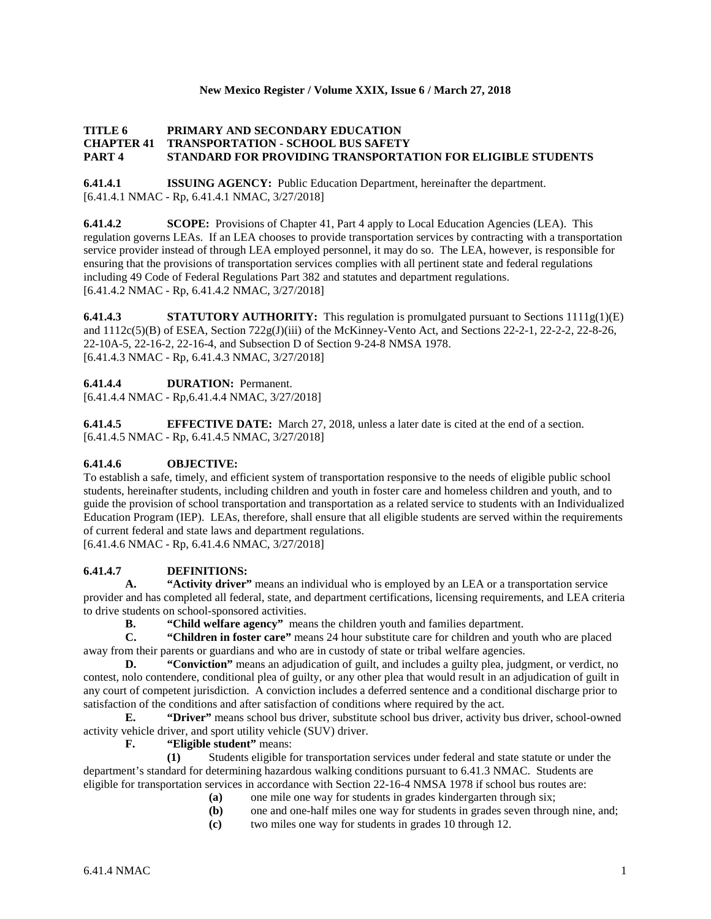#### **New Mexico Register / Volume XXIX, Issue 6 / March 27, 2018**

## **TITLE 6 PRIMARY AND SECONDARY EDUCATION CHAPTER 41 TRANSPORTATION - SCHOOL BUS SAFETY PART 4 STANDARD FOR PROVIDING TRANSPORTATION FOR ELIGIBLE STUDENTS**

**6.41.4.1 ISSUING AGENCY:** Public Education Department, hereinafter the department. [6.41.4.1 NMAC - Rp, 6.41.4.1 NMAC, 3/27/2018]

**6.41.4.2 SCOPE:** Provisions of Chapter 41, Part 4 apply to Local Education Agencies (LEA). This regulation governs LEAs. If an LEA chooses to provide transportation services by contracting with a transportation service provider instead of through LEA employed personnel, it may do so. The LEA, however, is responsible for ensuring that the provisions of transportation services complies with all pertinent state and federal regulations including 49 Code of Federal Regulations Part 382 and statutes and department regulations. [6.41.4.2 NMAC - Rp, 6.41.4.2 NMAC, 3/27/2018]

**6.41.4.3 STATUTORY AUTHORITY:** This regulation is promulgated pursuant to Sections 1111g(1)(E) and 1112c(5)(B) of ESEA, Section 722g(J)(iii) of the McKinney-Vento Act, and Sections 22-2-1, 22-2-2, 22-8-26, 22-10A-5, 22-16-2, 22-16-4, and Subsection D of Section 9-24-8 NMSA 1978. [6.41.4.3 NMAC - Rp, 6.41.4.3 NMAC, 3/27/2018]

## **6.41.4.4 DURATION:** Permanent.

[6.41.4.4 NMAC - Rp,6.41.4.4 NMAC, 3/27/2018]

**6.41.4.5 EFFECTIVE DATE:** March 27, 2018, unless a later date is cited at the end of a section. [6.41.4.5 NMAC - Rp, 6.41.4.5 NMAC, 3/27/2018]

## **6.41.4.6 OBJECTIVE:**

To establish a safe, timely, and efficient system of transportation responsive to the needs of eligible public school students, hereinafter students, including children and youth in foster care and homeless children and youth, and to guide the provision of school transportation and transportation as a related service to students with an Individualized Education Program (IEP). LEAs, therefore, shall ensure that all eligible students are served within the requirements of current federal and state laws and department regulations.

[6.41.4.6 NMAC - Rp, 6.41.4.6 NMAC, 3/27/2018]

## **6.41.4.7 DEFINITIONS:**

**A. "Activity driver"** means an individual who is employed by an LEA or a transportation service provider and has completed all federal, state, and department certifications, licensing requirements, and LEA criteria to drive students on school-sponsored activities.

**B. "Child welfare agency"** means the children youth and families department.

**C. "Children in foster care"** means 24 hour substitute care for children and youth who are placed away from their parents or guardians and who are in custody of state or tribal welfare agencies.

**D. "Conviction"** means an adjudication of guilt, and includes a guilty plea, judgment, or verdict, no contest, nolo contendere, conditional plea of guilty, or any other plea that would result in an adjudication of guilt in any court of competent jurisdiction. A conviction includes a deferred sentence and a conditional discharge prior to satisfaction of the conditions and after satisfaction of conditions where required by the act.

**E. "Driver"** means school bus driver, substitute school bus driver, activity bus driver, school-owned activity vehicle driver, and sport utility vehicle (SUV) driver.

**F. "Eligible student"** means:

**(1)** Students eligible for transportation services under federal and state statute or under the department's standard for determining hazardous walking conditions pursuant to 6.41.3 NMAC. Students are eligible for transportation services in accordance with Section 22-16-4 NMSA 1978 if school bus routes are:<br>(a) one mile one way for students in grades kindergarten through six;

- **(a)** one mile one way for students in grades kindergarten through six;
- **(b)** one and one-half miles one way for students in grades seven through nine, and;
- **(c)** two miles one way for students in grades 10 through 12.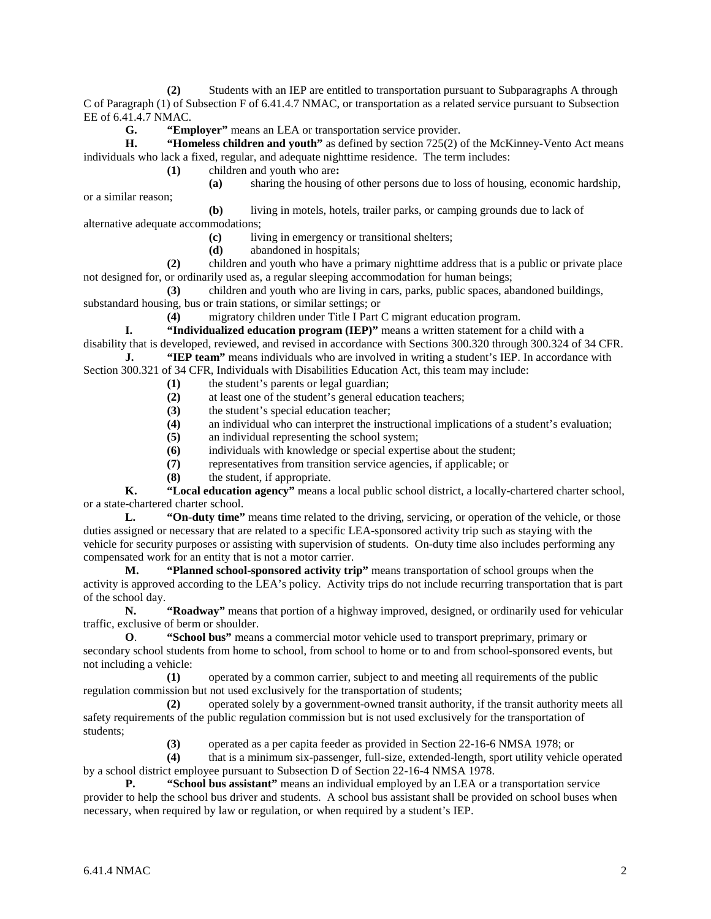**(2)** Students with an IEP are entitled to transportation pursuant to Subparagraphs A through C of Paragraph (1) of Subsection F of 6.41.4.7 NMAC, or transportation as a related service pursuant to Subsection EE of 6.41.4.7 NMAC.

**G. "Employer"** means an LEA or transportation service provider.

**H. "Homeless children and youth"** as defined by section 725(2) of the McKinney-Vento Act means individuals who lack a fixed, regular, and adequate nighttime residence. The term includes:

**(1)** children and youth who are**:**

or a similar reason;

**(a)** sharing the housing of other persons due to loss of housing, economic hardship,

**(b)** living in motels, hotels, trailer parks, or camping grounds due to lack of alternative adequate accommodations;

**(c)** living in emergency or transitional shelters;

**(d)** abandoned in hospitals;

**(2)** children and youth who have a primary nighttime address that is a public or private place not designed for, or ordinarily used as, a regular sleeping accommodation for human beings;

**(3)** children and youth who are living in cars, parks, public spaces, abandoned buildings, substandard housing, bus or train stations, or similar settings; or

**(4)** migratory children under Title I Part C migrant education program.

**I. "Individualized education program (IEP)"** means a written statement for a child with a disability that is developed, reviewed, and revised in accordance with Sections 300.320 through 300.324 of 34 CFR. **J. "IEP team"** means individuals who are involved in writing a student's IEP. In accordance with

Section 300.321 of 34 CFR, Individuals with Disabilities Education Act, this team may include:

- **(1)** the student's parents or legal guardian;
- **(2)** at least one of the student's general education teachers;
- (3) the student's special education teacher;<br>(4) an individual who can interpret the instr
- **(4)** an individual who can interpret the instructional implications of a student's evaluation;
- **(5)** an individual representing the school system;
- **(6)** individuals with knowledge or special expertise about the student;
- **(7)** representatives from transition service agencies, if applicable; or
- **(8)** the student, if appropriate.

**K. "Local education agency"** means a local public school district, a locally-chartered charter school, or a state-chartered charter school.

**L. "On-duty time"** means time related to the driving, servicing, or operation of the vehicle, or those duties assigned or necessary that are related to a specific LEA-sponsored activity trip such as staying with the vehicle for security purposes or assisting with supervision of students. On-duty time also includes performing any compensated work for an entity that is not a motor carrier.

**M. "Planned school-sponsored activity trip"** means transportation of school groups when the activity is approved according to the LEA's policy. Activity trips do not include recurring transportation that is part of the school day.

**N. "Roadway"** means that portion of a highway improved, designed, or ordinarily used for vehicular traffic, exclusive of berm or shoulder.

**O**. **"School bus"** means a commercial motor vehicle used to transport preprimary, primary or secondary school students from home to school, from school to home or to and from school-sponsored events, but not including a vehicle:

**(1)** operated by a common carrier, subject to and meeting all requirements of the public regulation commission but not used exclusively for the transportation of students;

**(2)** operated solely by a government-owned transit authority, if the transit authority meets all safety requirements of the public regulation commission but is not used exclusively for the transportation of students;

**(3)** operated as a per capita feeder as provided in Section 22-16-6 NMSA 1978; or

**(4)** that is a minimum six-passenger, full-size, extended-length, sport utility vehicle operated by a school district employee pursuant to Subsection D of Section 22-16-4 NMSA 1978.

**P. "School bus assistant"** means an individual employed by an LEA or a transportation service provider to help the school bus driver and students. A school bus assistant shall be provided on school buses when necessary, when required by law or regulation, or when required by a student's IEP.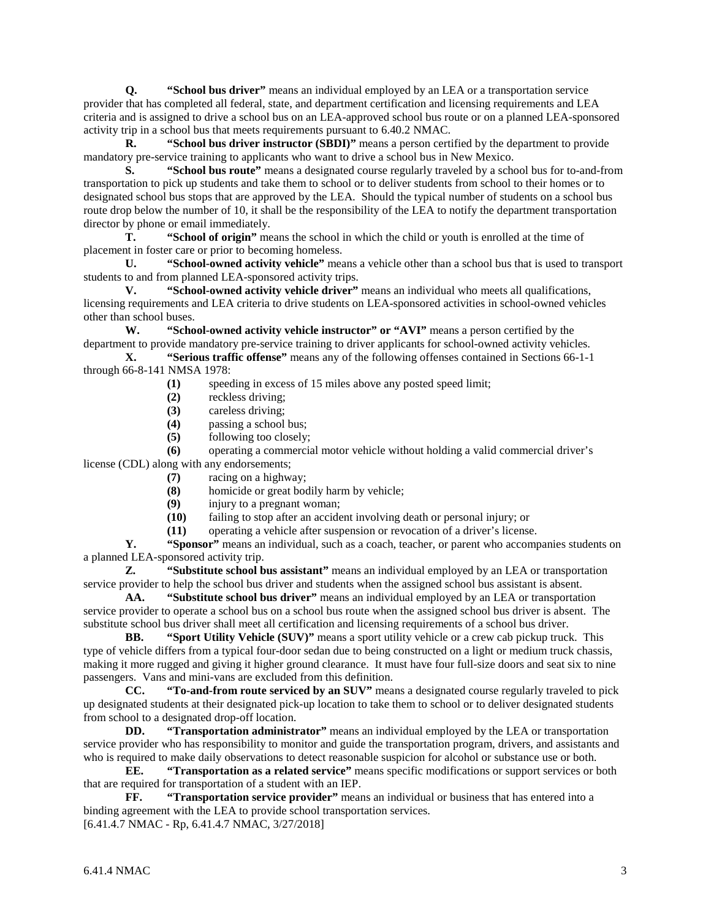**Q. "School bus driver"** means an individual employed by an LEA or a transportation service provider that has completed all federal, state, and department certification and licensing requirements and LEA criteria and is assigned to drive a school bus on an LEA-approved school bus route or on a planned LEA-sponsored activity trip in a school bus that meets requirements pursuant to 6.40.2 NMAC.

**R. "School bus driver instructor (SBDI)"** means a person certified by the department to provide mandatory pre-service training to applicants who want to drive a school bus in New Mexico.

**S. "School bus route"** means a designated course regularly traveled by a school bus for to-and-from transportation to pick up students and take them to school or to deliver students from school to their homes or to designated school bus stops that are approved by the LEA. Should the typical number of students on a school bus route drop below the number of 10, it shall be the responsibility of the LEA to notify the department transportation director by phone or email immediately.

**T. "School of origin"** means the school in which the child or youth is enrolled at the time of placement in foster care or prior to becoming homeless.

**U. "School-owned activity vehicle"** means a vehicle other than a school bus that is used to transport students to and from planned LEA-sponsored activity trips.

**V. "School-owned activity vehicle driver"** means an individual who meets all qualifications, licensing requirements and LEA criteria to drive students on LEA-sponsored activities in school-owned vehicles other than school buses.

**W. "School-owned activity vehicle instructor" or "AVI"** means a person certified by the department to provide mandatory pre-service training to driver applicants for school-owned activity vehicles. **X. "Serious traffic offense"** means any of the following offenses contained in Sections 66-1-1

through 66-8-141 NMSA 1978:

- **(1)** speeding in excess of 15 miles above any posted speed limit;
- **(2)** reckless driving;
- **(3)** careless driving;
- **(4)** passing a school bus;
- **(5)** following too closely;

**(6)** operating a commercial motor vehicle without holding a valid commercial driver's

- license (CDL) along with any endorsements; **(7)** racing on a highway;
	- **(8)** homicide or great bodily harm by vehicle;<br>**(9)** injury to a pregnant woman;
	- injury to a pregnant woman;
	- **(10)** failing to stop after an accident involving death or personal injury; or
	- **(11)** operating a vehicle after suspension or revocation of a driver's license.

**Y. "Sponsor"** means an individual, such as a coach, teacher, or parent who accompanies students on a planned LEA-sponsored activity trip.

**Z. "Substitute school bus assistant"** means an individual employed by an LEA or transportation service provider to help the school bus driver and students when the assigned school bus assistant is absent.

**AA. "Substitute school bus driver"** means an individual employed by an LEA or transportation service provider to operate a school bus on a school bus route when the assigned school bus driver is absent. The substitute school bus driver shall meet all certification and licensing requirements of a school bus driver.

**BB. "Sport Utility Vehicle (SUV)"** means a sport utility vehicle or a crew cab pickup truck. This type of vehicle differs from a typical four-door sedan due to being constructed on a light or medium truck chassis, making it more rugged and giving it higher ground clearance. It must have four full-size doors and seat six to nine passengers. Vans and mini-vans are excluded from this definition.<br>CC. "To-and-from route serviced by an SUV" mean

"To-and-from route serviced by an SUV" means a designated course regularly traveled to pick up designated students at their designated pick-up location to take them to school or to deliver designated students from school to a designated drop-off location.

**DD. "Transportation administrator"** means an individual employed by the LEA or transportation service provider who has responsibility to monitor and guide the transportation program, drivers, and assistants and who is required to make daily observations to detect reasonable suspicion for alcohol or substance use or both.

**EE. "Transportation as a related service"** means specific modifications or support services or both that are required for transportation of a student with an IEP.

**FF. "Transportation service provider"** means an individual or business that has entered into a binding agreement with the LEA to provide school transportation services. [6.41.4.7 NMAC - Rp, 6.41.4.7 NMAC, 3/27/2018]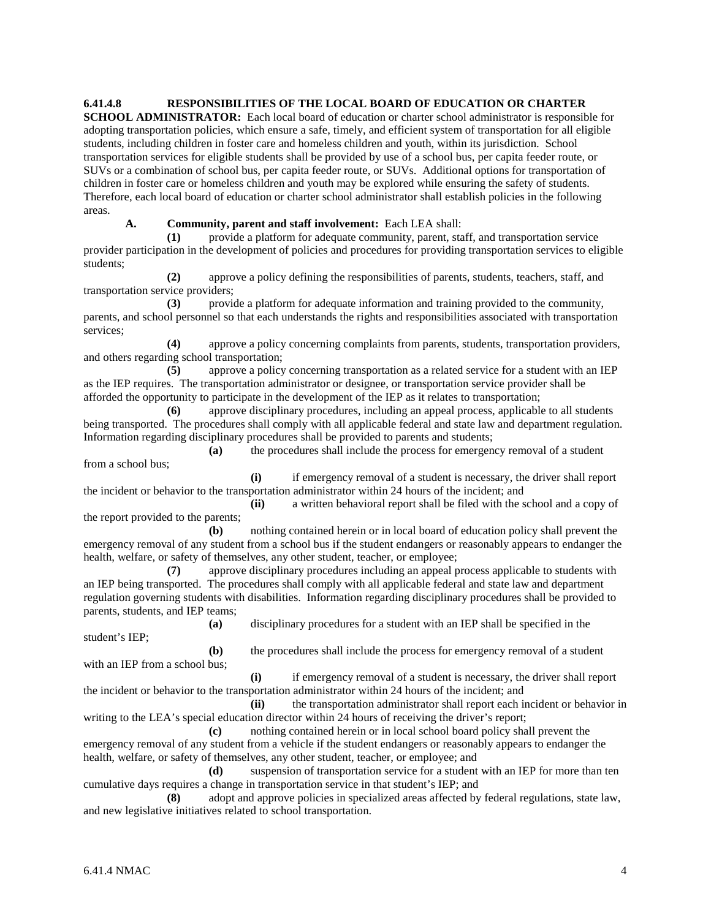**6.41.4.8 RESPONSIBILITIES OF THE LOCAL BOARD OF EDUCATION OR CHARTER** 

**SCHOOL ADMINISTRATOR:** Each local board of education or charter school administrator is responsible for adopting transportation policies, which ensure a safe, timely, and efficient system of transportation for all eligible students, including children in foster care and homeless children and youth, within its jurisdiction. School transportation services for eligible students shall be provided by use of a school bus, per capita feeder route, or SUVs or a combination of school bus, per capita feeder route, or SUVs. Additional options for transportation of children in foster care or homeless children and youth may be explored while ensuring the safety of students. Therefore, each local board of education or charter school administrator shall establish policies in the following areas.

**A. Community, parent and staff involvement:** Each LEA shall:

**(1)** provide a platform for adequate community, parent, staff, and transportation service provider participation in the development of policies and procedures for providing transportation services to eligible students;

**(2)** approve a policy defining the responsibilities of parents, students, teachers, staff, and transportation service providers;

**(3)** provide a platform for adequate information and training provided to the community, parents, and school personnel so that each understands the rights and responsibilities associated with transportation services;

**(4)** approve a policy concerning complaints from parents, students, transportation providers, and others regarding school transportation;

**(5)** approve a policy concerning transportation as a related service for a student with an IEP as the IEP requires. The transportation administrator or designee, or transportation service provider shall be afforded the opportunity to participate in the development of the IEP as it relates to transportation;

**(6)** approve disciplinary procedures, including an appeal process, applicable to all students being transported. The procedures shall comply with all applicable federal and state law and department regulation. Information regarding disciplinary procedures shall be provided to parents and students;

**(a)** the procedures shall include the process for emergency removal of a student from a school bus;

**(i)** if emergency removal of a student is necessary, the driver shall report the incident or behavior to the transportation administrator within 24 hours of the incident; and

**(ii)** a written behavioral report shall be filed with the school and a copy of the report provided to the parents;

**(b)** nothing contained herein or in local board of education policy shall prevent the emergency removal of any student from a school bus if the student endangers or reasonably appears to endanger the health, welfare, or safety of themselves, any other student, teacher, or employee;

**(7)** approve disciplinary procedures including an appeal process applicable to students with an IEP being transported. The procedures shall comply with all applicable federal and state law and department regulation governing students with disabilities. Information regarding disciplinary procedures shall be provided to parents, students, and IEP teams;

**(a)** disciplinary procedures for a student with an IEP shall be specified in the student's IEP;

**(b)** the procedures shall include the process for emergency removal of a student with an IEP from a school bus;

**(i)** if emergency removal of a student is necessary, the driver shall report the incident or behavior to the transportation administrator within 24 hours of the incident; and

**(ii)** the transportation administrator shall report each incident or behavior in writing to the LEA's special education director within 24 hours of receiving the driver's report;

**(c)** nothing contained herein or in local school board policy shall prevent the emergency removal of any student from a vehicle if the student endangers or reasonably appears to endanger the health, welfare, or safety of themselves, any other student, teacher, or employee; and

**(d)** suspension of transportation service for a student with an IEP for more than ten cumulative days requires a change in transportation service in that student's IEP; and

**(8)** adopt and approve policies in specialized areas affected by federal regulations, state law, and new legislative initiatives related to school transportation.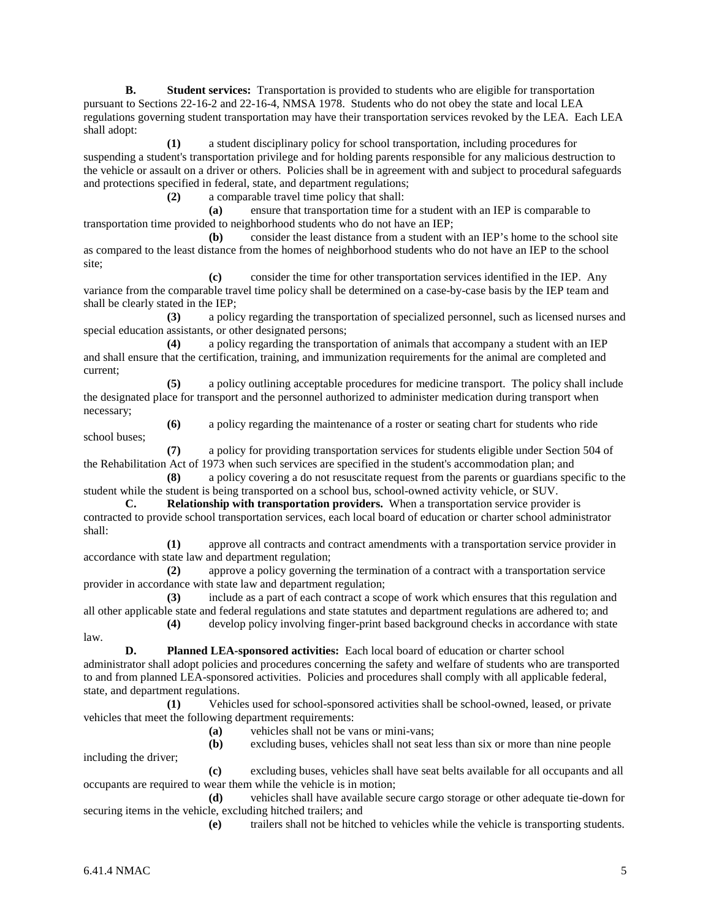**B. Student services:** Transportation is provided to students who are eligible for transportation pursuant to Sections 22-16-2 and 22-16-4, NMSA 1978. Students who do not obey the state and local LEA regulations governing student transportation may have their transportation services revoked by the LEA. Each LEA shall adopt:

**(1)** a student disciplinary policy for school transportation, including procedures for suspending a student's transportation privilege and for holding parents responsible for any malicious destruction to the vehicle or assault on a driver or others. Policies shall be in agreement with and subject to procedural safeguards and protections specified in federal, state, and department regulations;

**(2)** a comparable travel time policy that shall:

**(a)** ensure that transportation time for a student with an IEP is comparable to transportation time provided to neighborhood students who do not have an IEP;

**(b)** consider the least distance from a student with an IEP's home to the school site as compared to the least distance from the homes of neighborhood students who do not have an IEP to the school site;

**(c)** consider the time for other transportation services identified in the IEP. Any variance from the comparable travel time policy shall be determined on a case-by-case basis by the IEP team and shall be clearly stated in the IEP;

**(3)** a policy regarding the transportation of specialized personnel, such as licensed nurses and special education assistants, or other designated persons;

**(4)** a policy regarding the transportation of animals that accompany a student with an IEP and shall ensure that the certification, training, and immunization requirements for the animal are completed and current;

**(5)** a policy outlining acceptable procedures for medicine transport. The policy shall include the designated place for transport and the personnel authorized to administer medication during transport when necessary;

school buses;

**(6)** a policy regarding the maintenance of a roster or seating chart for students who ride

**(7)** a policy for providing transportation services for students eligible under Section 504 of the Rehabilitation Act of 1973 when such services are specified in the student's accommodation plan; and

**(8)** a policy covering a do not resuscitate request from the parents or guardians specific to the student while the student is being transported on a school bus, school-owned activity vehicle, or SUV.

**C. Relationship with transportation providers.** When a transportation service provider is contracted to provide school transportation services, each local board of education or charter school administrator shall:

**(1)** approve all contracts and contract amendments with a transportation service provider in accordance with state law and department regulation;

**(2)** approve a policy governing the termination of a contract with a transportation service provider in accordance with state law and department regulation;

**(3)** include as a part of each contract a scope of work which ensures that this regulation and all other applicable state and federal regulations and state statutes and department regulations are adhered to; and **(4)** develop policy involving finger-print based background checks in accordance with state law.

**D. Planned LEA-sponsored activities:** Each local board of education or charter school administrator shall adopt policies and procedures concerning the safety and welfare of students who are transported to and from planned LEA-sponsored activities. Policies and procedures shall comply with all applicable federal, state, and department regulations.

**(1)** Vehicles used for school-sponsored activities shall be school-owned, leased, or private vehicles that meet the following department requirements:

**(a)** vehicles shall not be vans or mini-vans;

**(b)** excluding buses, vehicles shall not seat less than six or more than nine people including the driver;

**(c)** excluding buses, vehicles shall have seat belts available for all occupants and all occupants are required to wear them while the vehicle is in motion;

**(d)** vehicles shall have available secure cargo storage or other adequate tie-down for securing items in the vehicle, excluding hitched trailers; and

**(e)** trailers shall not be hitched to vehicles while the vehicle is transporting students.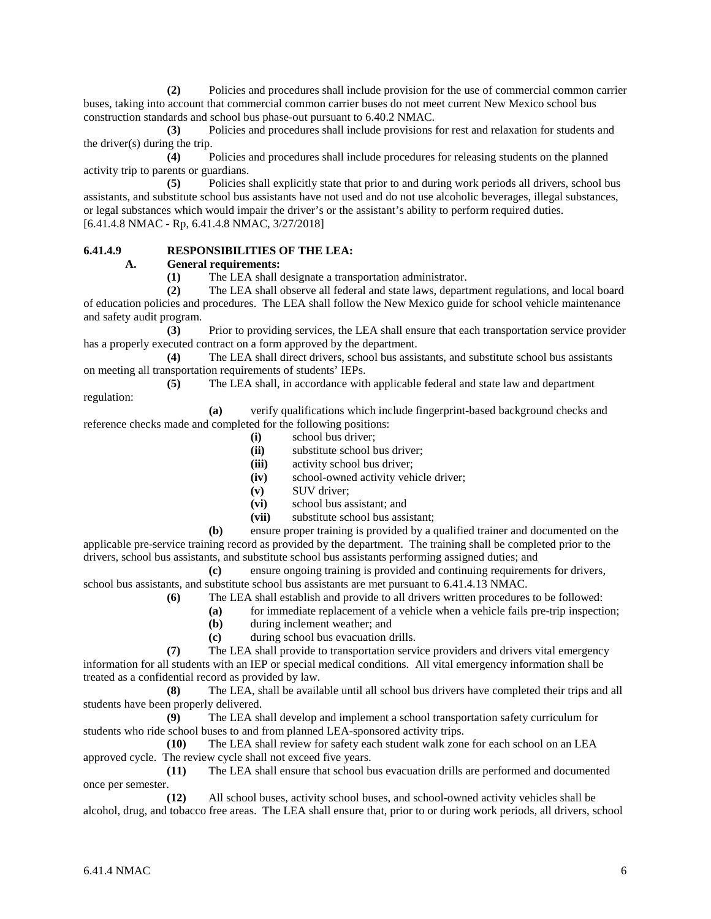**(2)** Policies and procedures shall include provision for the use of commercial common carrier buses, taking into account that commercial common carrier buses do not meet current New Mexico school bus construction standards and school bus phase-out pursuant to 6.40.2 NMAC.

**(3)** Policies and procedures shall include provisions for rest and relaxation for students and the driver(s) during the trip.

**(4)** Policies and procedures shall include procedures for releasing students on the planned activity trip to parents or guardians.

**(5)** Policies shall explicitly state that prior to and during work periods all drivers, school bus assistants, and substitute school bus assistants have not used and do not use alcoholic beverages, illegal substances, or legal substances which would impair the driver's or the assistant's ability to perform required duties. [6.41.4.8 NMAC - Rp, 6.41.4.8 NMAC, 3/27/2018]

## **6.41.4.9 RESPONSIBILITIES OF THE LEA:**

#### **A. General requirements:**

**(1)** The LEA shall designate a transportation administrator.

**(2)** The LEA shall observe all federal and state laws, department regulations, and local board of education policies and procedures. The LEA shall follow the New Mexico guide for school vehicle maintenance and safety audit program.

**(3)** Prior to providing services, the LEA shall ensure that each transportation service provider has a properly executed contract on a form approved by the department.

**(4)** The LEA shall direct drivers, school bus assistants, and substitute school bus assistants on meeting all transportation requirements of students' IEPs.

**(5)** The LEA shall, in accordance with applicable federal and state law and department regulation:

**(a)** verify qualifications which include fingerprint-based background checks and reference checks made and completed for the following positions:

- **(i)** school bus driver;
- **(ii)** substitute school bus driver;
- **(iii)** activity school bus driver;
- **(iv)** school-owned activity vehicle driver;
- **(v)** SUV driver;
- **(vi)** school bus assistant; and
- **(vii)** substitute school bus assistant;

**(b)** ensure proper training is provided by a qualified trainer and documented on the applicable pre-service training record as provided by the department. The training shall be completed prior to the drivers, school bus assistants, and substitute school bus assistants performing assigned duties; and

**(c)** ensure ongoing training is provided and continuing requirements for drivers, school bus assistants, and substitute school bus assistants are met pursuant to 6.41.4.13 NMAC.

**(6)** The LEA shall establish and provide to all drivers written procedures to be followed:

- **(a)** for immediate replacement of a vehicle when a vehicle fails pre-trip inspection;
	- **(b)** during inclement weather; and
	- **(c)** during school bus evacuation drills.

**(7)** The LEA shall provide to transportation service providers and drivers vital emergency information for all students with an IEP or special medical conditions. All vital emergency information shall be treated as a confidential record as provided by law.

**(8)** The LEA, shall be available until all school bus drivers have completed their trips and all students have been properly delivered.

**(9)** The LEA shall develop and implement a school transportation safety curriculum for students who ride school buses to and from planned LEA-sponsored activity trips.

**(10)** The LEA shall review for safety each student walk zone for each school on an LEA approved cycle. The review cycle shall not exceed five years.

**(11)** The LEA shall ensure that school bus evacuation drills are performed and documented once per semester.

**(12)** All school buses, activity school buses, and school-owned activity vehicles shall be alcohol, drug, and tobacco free areas. The LEA shall ensure that, prior to or during work periods, all drivers, school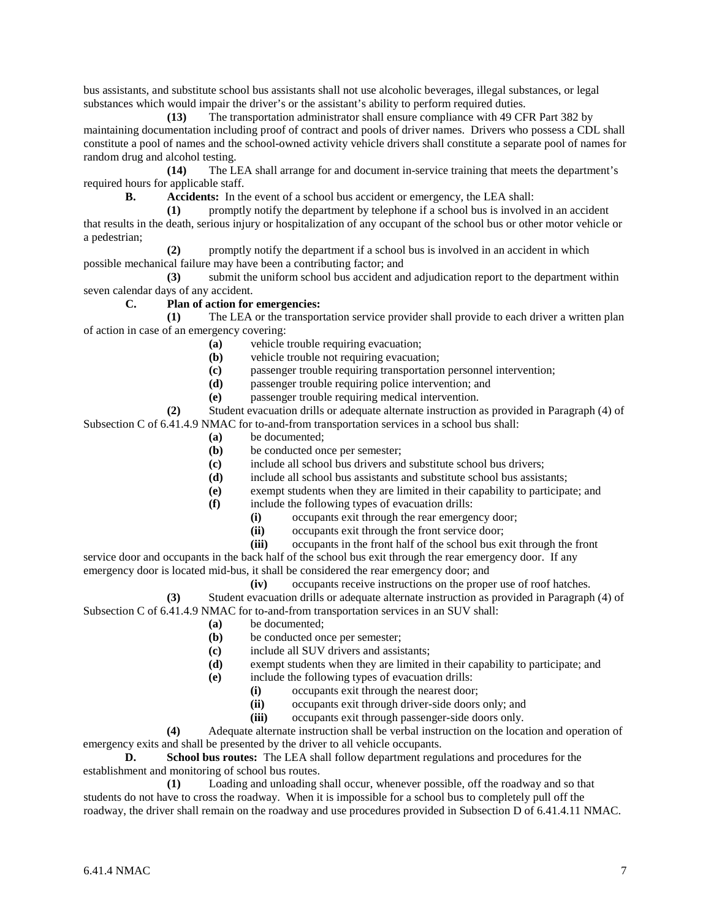bus assistants, and substitute school bus assistants shall not use alcoholic beverages, illegal substances, or legal substances which would impair the driver's or the assistant's ability to perform required duties.

**(13)** The transportation administrator shall ensure compliance with 49 CFR Part 382 by maintaining documentation including proof of contract and pools of driver names. Drivers who possess a CDL shall constitute a pool of names and the school-owned activity vehicle drivers shall constitute a separate pool of names for random drug and alcohol testing.

**(14)** The LEA shall arrange for and document in-service training that meets the department's required hours for applicable staff.

**B. Accidents:** In the event of a school bus accident or emergency, the LEA shall:

**(1)** promptly notify the department by telephone if a school bus is involved in an accident that results in the death, serious injury or hospitalization of any occupant of the school bus or other motor vehicle or a pedestrian;

**(2)** promptly notify the department if a school bus is involved in an accident in which possible mechanical failure may have been a contributing factor; and

**(3)** submit the uniform school bus accident and adjudication report to the department within seven calendar days of any accident.

# **C. Plan of action for emergencies:**

**(1)** The LEA or the transportation service provider shall provide to each driver a written plan of action in case of an emergency covering:

- **(a)** vehicle trouble requiring evacuation;
- **(b)** vehicle trouble not requiring evacuation;
- (c) passenger trouble requiring transportation personnel intervention;<br> **(d)** passenger trouble requiring police intervention: and
- passenger trouble requiring police intervention; and
- **(e)** passenger trouble requiring medical intervention.

**(2)** Student evacuation drills or adequate alternate instruction as provided in Paragraph (4) of Subsection C of 6.41.4.9 NMAC for to-and-from transportation services in a school bus shall:

- **(a)** be documented;
- **(b)** be conducted once per semester;
- **(c)** include all school bus drivers and substitute school bus drivers;
- **(d)** include all school bus assistants and substitute school bus assistants;
- **(e)** exempt students when they are limited in their capability to participate; and
- **(f)** include the following types of evacuation drills:
	- **(i)** occupants exit through the rear emergency door;
	- (ii) occupants exit through the front service door;<br>(iii) occupants in the front half of the school bus ex
	- **(iii)** occupants in the front half of the school bus exit through the front

service door and occupants in the back half of the school bus exit through the rear emergency door. If any emergency door is located mid-bus, it shall be considered the rear emergency door; and

**(iv)** occupants receive instructions on the proper use of roof hatches.

**(3)** Student evacuation drills or adequate alternate instruction as provided in Paragraph (4) of Subsection C of 6.41.4.9 NMAC for to-and-from transportation services in an SUV shall:

- **(a)** be documented;
- **(b)** be conducted once per semester;
- **(c)** include all SUV drivers and assistants;
- **(d)** exempt students when they are limited in their capability to participate; and
- **(e)** include the following types of evacuation drills:
	- **(i)** occupants exit through the nearest door;
	- **(ii)** occupants exit through driver-side doors only; and
	- **(iii)** occupants exit through passenger-side doors only.

**(4)** Adequate alternate instruction shall be verbal instruction on the location and operation of emergency exits and shall be presented by the driver to all vehicle occupants.

**D. School bus routes:** The LEA shall follow department regulations and procedures for the establishment and monitoring of school bus routes.

**(1)** Loading and unloading shall occur, whenever possible, off the roadway and so that students do not have to cross the roadway. When it is impossible for a school bus to completely pull off the roadway, the driver shall remain on the roadway and use procedures provided in Subsection D of 6.41.4.11 NMAC.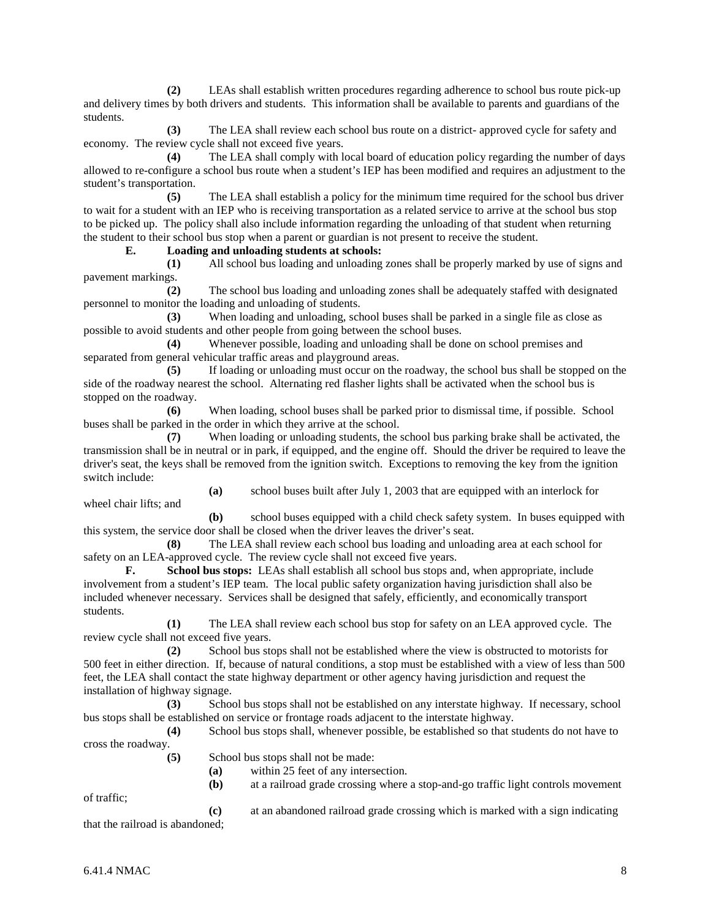**(2)** LEAs shall establish written procedures regarding adherence to school bus route pick-up and delivery times by both drivers and students. This information shall be available to parents and guardians of the students.

**(3)** The LEA shall review each school bus route on a district- approved cycle for safety and economy. The review cycle shall not exceed five years.

**(4)** The LEA shall comply with local board of education policy regarding the number of days allowed to re-configure a school bus route when a student's IEP has been modified and requires an adjustment to the student's transportation.

**(5)** The LEA shall establish a policy for the minimum time required for the school bus driver to wait for a student with an IEP who is receiving transportation as a related service to arrive at the school bus stop to be picked up. The policy shall also include information regarding the unloading of that student when returning the student to their school bus stop when a parent or guardian is not present to receive the student.

**E. Loading and unloading students at schools:**

**(1)** All school bus loading and unloading zones shall be properly marked by use of signs and pavement markings.

**(2)** The school bus loading and unloading zones shall be adequately staffed with designated personnel to monitor the loading and unloading of students.

**(3)** When loading and unloading, school buses shall be parked in a single file as close as possible to avoid students and other people from going between the school buses.

**(4)** Whenever possible, loading and unloading shall be done on school premises and separated from general vehicular traffic areas and playground areas.

**(5)** If loading or unloading must occur on the roadway, the school bus shall be stopped on the side of the roadway nearest the school. Alternating red flasher lights shall be activated when the school bus is stopped on the roadway.

**(6)** When loading, school buses shall be parked prior to dismissal time, if possible. School buses shall be parked in the order in which they arrive at the school.

**(7)** When loading or unloading students, the school bus parking brake shall be activated, the transmission shall be in neutral or in park, if equipped, and the engine off. Should the driver be required to leave the driver's seat, the keys shall be removed from the ignition switch. Exceptions to removing the key from the ignition switch include:

**(a)** school buses built after July 1, 2003 that are equipped with an interlock for wheel chair lifts; and

**(b)** school buses equipped with a child check safety system. In buses equipped with this system, the service door shall be closed when the driver leaves the driver's seat.

**(8)** The LEA shall review each school bus loading and unloading area at each school for safety on an LEA-approved cycle. The review cycle shall not exceed five years.

**F. School bus stops:** LEAs shall establish all school bus stops and, when appropriate, include involvement from a student's IEP team. The local public safety organization having jurisdiction shall also be included whenever necessary. Services shall be designed that safely, efficiently, and economically transport students.

**(1)** The LEA shall review each school bus stop for safety on an LEA approved cycle. The review cycle shall not exceed five years.

**(2)** School bus stops shall not be established where the view is obstructed to motorists for 500 feet in either direction. If, because of natural conditions, a stop must be established with a view of less than 500 feet, the LEA shall contact the state highway department or other agency having jurisdiction and request the installation of highway signage.

**(3)** School bus stops shall not be established on any interstate highway. If necessary, school bus stops shall be established on service or frontage roads adjacent to the interstate highway.

**(4)** School bus stops shall, whenever possible, be established so that students do not have to cross the roadway.

**(b)** at a railroad grade crossing where a stop-and-go traffic light controls movement

**(5)** School bus stops shall not be made:

**(a)** within 25 feet of any intersection.

of traffic; **(c)** at an abandoned railroad grade crossing which is marked with a sign indicating that the railroad is abandoned;

 $6.41.4$  NMAC  $8$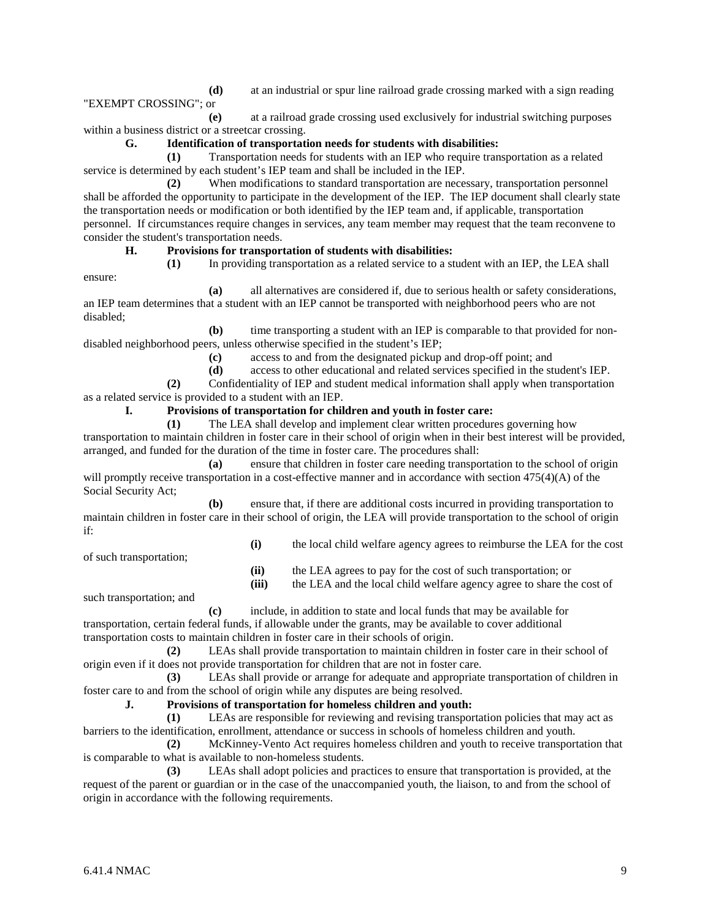**(d)** at an industrial or spur line railroad grade crossing marked with a sign reading

**(e)** at a railroad grade crossing used exclusively for industrial switching purposes within a business district or a streetcar crossing.

## **G. Identification of transportation needs for students with disabilities:**

**(1)** Transportation needs for students with an IEP who require transportation as a related service is determined by each student's IEP team and shall be included in the IEP.

**(2)** When modifications to standard transportation are necessary, transportation personnel shall be afforded the opportunity to participate in the development of the IEP. The IEP document shall clearly state the transportation needs or modification or both identified by the IEP team and, if applicable, transportation personnel. If circumstances require changes in services, any team member may request that the team reconvene to consider the student's transportation needs.

## **H. Provisions for transportation of students with disabilities:**

ensure:

"EXEMPT CROSSING"; or

**(1)** In providing transportation as a related service to a student with an IEP, the LEA shall **(a)** all alternatives are considered if, due to serious health or safety considerations,

an IEP team determines that a student with an IEP cannot be transported with neighborhood peers who are not disabled;

**(b)** time transporting a student with an IEP is comparable to that provided for nondisabled neighborhood peers, unless otherwise specified in the student's IEP;

**(c)** access to and from the designated pickup and drop-off point; and

**(d)** access to other educational and related services specified in the student's IEP.

**(2)** Confidentiality of IEP and student medical information shall apply when transportation as a related service is provided to a student with an IEP.

## **I. Provisions of transportation for children and youth in foster care:**

**(1)** The LEA shall develop and implement clear written procedures governing how transportation to maintain children in foster care in their school of origin when in their best interest will be provided, arranged, and funded for the duration of the time in foster care. The procedures shall:

**(a)** ensure that children in foster care needing transportation to the school of origin will promptly receive transportation in a cost-effective manner and in accordance with section 475(4)(A) of the Social Security Act;

**(b)** ensure that, if there are additional costs incurred in providing transportation to maintain children in foster care in their school of origin, the LEA will provide transportation to the school of origin if:

of such transportation;

**(ii)** the LEA agrees to pay for the cost of such transportation; or

**(iii)** the LEA and the local child welfare agency agree to share the cost of

**(i)** the local child welfare agency agrees to reimburse the LEA for the cost

such transportation; and

**(c)** include, in addition to state and local funds that may be available for transportation, certain federal funds, if allowable under the grants, may be available to cover additional transportation costs to maintain children in foster care in their schools of origin.

**(2)** LEAs shall provide transportation to maintain children in foster care in their school of origin even if it does not provide transportation for children that are not in foster care.

**(3)** LEAs shall provide or arrange for adequate and appropriate transportation of children in foster care to and from the school of origin while any disputes are being resolved.

**J. Provisions of transportation for homeless children and youth:**

**(1)** LEAs are responsible for reviewing and revising transportation policies that may act as barriers to the identification, enrollment, attendance or success in schools of homeless children and youth.

**(2)** McKinney-Vento Act requires homeless children and youth to receive transportation that is comparable to what is available to non-homeless students.

**(3)** LEAs shall adopt policies and practices to ensure that transportation is provided, at the request of the parent or guardian or in the case of the unaccompanied youth, the liaison, to and from the school of origin in accordance with the following requirements.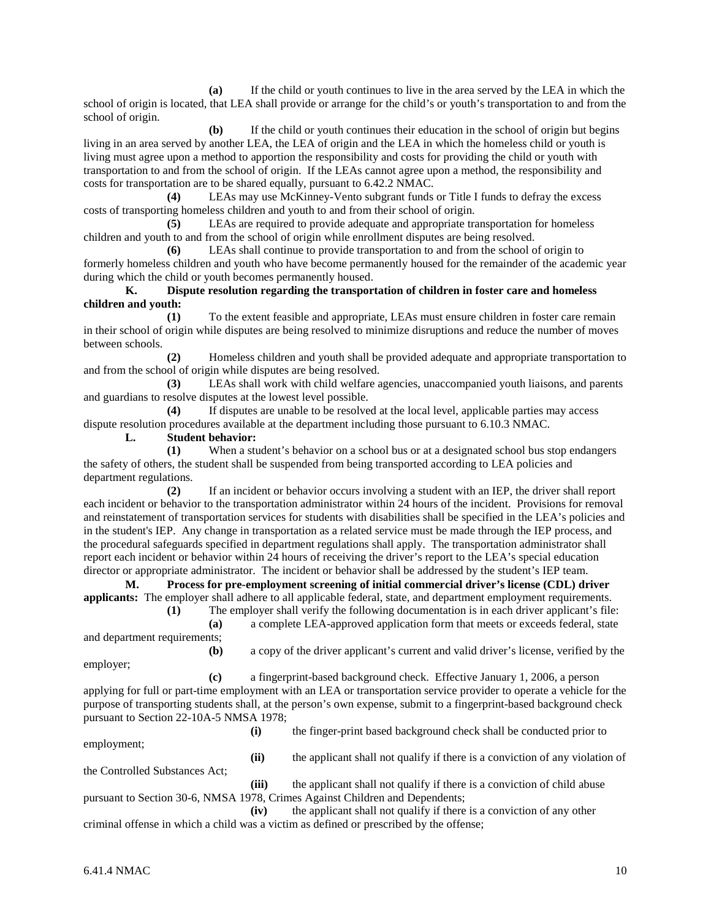**(a)** If the child or youth continues to live in the area served by the LEA in which the school of origin is located, that LEA shall provide or arrange for the child's or youth's transportation to and from the school of origin.

**(b)** If the child or youth continues their education in the school of origin but begins living in an area served by another LEA, the LEA of origin and the LEA in which the homeless child or youth is living must agree upon a method to apportion the responsibility and costs for providing the child or youth with transportation to and from the school of origin. If the LEAs cannot agree upon a method, the responsibility and costs for transportation are to be shared equally, pursuant to 6.42.2 NMAC.

**(4)** LEAs may use McKinney-Vento subgrant funds or Title I funds to defray the excess costs of transporting homeless children and youth to and from their school of origin.

**(5)** LEAs are required to provide adequate and appropriate transportation for homeless children and youth to and from the school of origin while enrollment disputes are being resolved.

**(6)** LEAs shall continue to provide transportation to and from the school of origin to formerly homeless children and youth who have become permanently housed for the remainder of the academic year during which the child or youth becomes permanently housed.

**K. Dispute resolution regarding the transportation of children in foster care and homeless children and youth:**

**(1)** To the extent feasible and appropriate, LEAs must ensure children in foster care remain in their school of origin while disputes are being resolved to minimize disruptions and reduce the number of moves between schools.

**(2)** Homeless children and youth shall be provided adequate and appropriate transportation to and from the school of origin while disputes are being resolved.

**(3)** LEAs shall work with child welfare agencies, unaccompanied youth liaisons, and parents and guardians to resolve disputes at the lowest level possible.

**(4)** If disputes are unable to be resolved at the local level, applicable parties may access dispute resolution procedures available at the department including those pursuant to 6.10.3 NMAC.

**L. Student behavior:**

**(1)** When a student's behavior on a school bus or at a designated school bus stop endangers the safety of others, the student shall be suspended from being transported according to LEA policies and department regulations.

**(2)** If an incident or behavior occurs involving a student with an IEP, the driver shall report each incident or behavior to the transportation administrator within 24 hours of the incident. Provisions for removal and reinstatement of transportation services for students with disabilities shall be specified in the LEA's policies and in the student's IEP. Any change in transportation as a related service must be made through the IEP process, and the procedural safeguards specified in department regulations shall apply. The transportation administrator shall report each incident or behavior within 24 hours of receiving the driver's report to the LEA's special education director or appropriate administrator. The incident or behavior shall be addressed by the student's IEP team.

**M. Process for pre-employment screening of initial commercial driver's license (CDL) driver applicants:** The employer shall adhere to all applicable federal, state, and department employment requirements.

**(1)** The employer shall verify the following documentation is in each driver applicant's file: **(a)** a complete LEA-approved application form that meets or exceeds federal, state

and department requirements;

**(b)** a copy of the driver applicant's current and valid driver's license, verified by the

**(c)** a fingerprint-based background check. Effective January 1, 2006, a person applying for full or part-time employment with an LEA or transportation service provider to operate a vehicle for the purpose of transporting students shall, at the person's own expense, submit to a fingerprint-based background check pursuant to Section 22-10A-5 NMSA 1978;

employment;

employer;

**(i)** the finger-print based background check shall be conducted prior to

**(ii)** the applicant shall not qualify if there is a conviction of any violation of the Controlled Substances Act;

**(iii)** the applicant shall not qualify if there is a conviction of child abuse pursuant to Section 30-6, NMSA 1978, Crimes Against Children and Dependents;

**(iv)** the applicant shall not qualify if there is a conviction of any other criminal offense in which a child was a victim as defined or prescribed by the offense;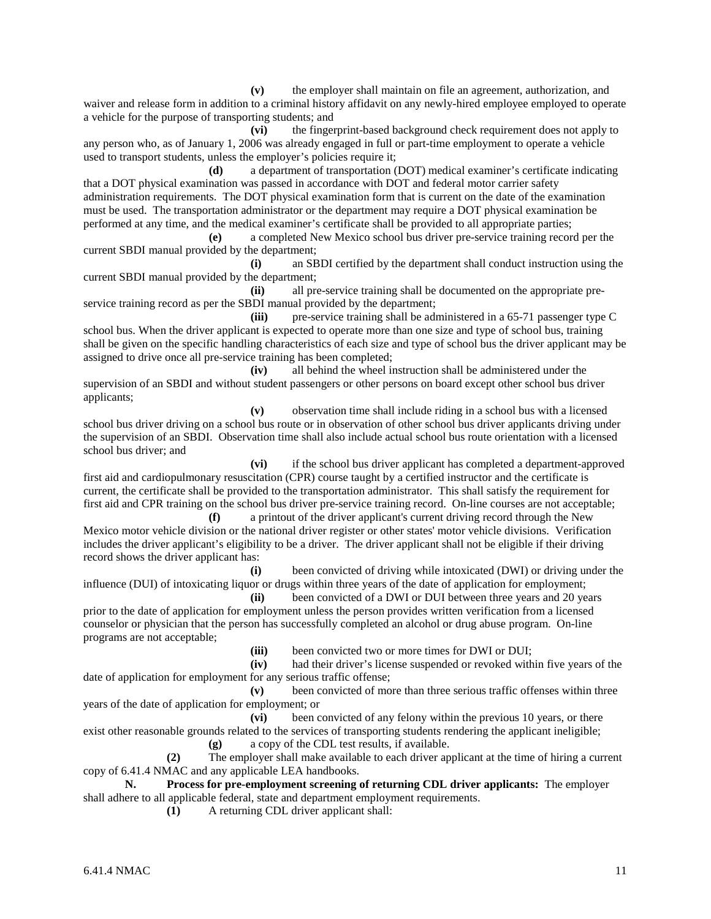**(v)** the employer shall maintain on file an agreement, authorization, and waiver and release form in addition to a criminal history affidavit on any newly-hired employee employed to operate a vehicle for the purpose of transporting students; and

**(vi)** the fingerprint-based background check requirement does not apply to any person who, as of January 1, 2006 was already engaged in full or part-time employment to operate a vehicle used to transport students, unless the employer's policies require it;

**(d)** a department of transportation (DOT) medical examiner's certificate indicating that a DOT physical examination was passed in accordance with DOT and federal motor carrier safety administration requirements. The DOT physical examination form that is current on the date of the examination must be used. The transportation administrator or the department may require a DOT physical examination be performed at any time, and the medical examiner's certificate shall be provided to all appropriate parties;

**(e)** a completed New Mexico school bus driver pre-service training record per the current SBDI manual provided by the department;

**(i)** an SBDI certified by the department shall conduct instruction using the current SBDI manual provided by the department;

**(ii)** all pre-service training shall be documented on the appropriate preservice training record as per the SBDI manual provided by the department;

**(iii)** pre-service training shall be administered in a 65-71 passenger type C school bus. When the driver applicant is expected to operate more than one size and type of school bus, training shall be given on the specific handling characteristics of each size and type of school bus the driver applicant may be assigned to drive once all pre-service training has been completed;

**(iv)** all behind the wheel instruction shall be administered under the supervision of an SBDI and without student passengers or other persons on board except other school bus driver applicants;

**(v)** observation time shall include riding in a school bus with a licensed school bus driver driving on a school bus route or in observation of other school bus driver applicants driving under the supervision of an SBDI. Observation time shall also include actual school bus route orientation with a licensed school bus driver; and

**(vi)** if the school bus driver applicant has completed a department-approved first aid and cardiopulmonary resuscitation (CPR) course taught by a certified instructor and the certificate is current, the certificate shall be provided to the transportation administrator. This shall satisfy the requirement for first aid and CPR training on the school bus driver pre-service training record. On-line courses are not acceptable;

**(f)** a printout of the driver applicant's current driving record through the New Mexico motor vehicle division or the national driver register or other states' motor vehicle divisions. Verification includes the driver applicant's eligibility to be a driver. The driver applicant shall not be eligible if their driving record shows the driver applicant has:

**(i)** been convicted of driving while intoxicated (DWI) or driving under the influence (DUI) of intoxicating liquor or drugs within three years of the date of application for employment;

**(ii)** been convicted of a DWI or DUI between three years and 20 years prior to the date of application for employment unless the person provides written verification from a licensed counselor or physician that the person has successfully completed an alcohol or drug abuse program. On-line programs are not acceptable;

(iii) been convicted two or more times for DWI or DUI;<br>(iv) had their driver's license suspended or revoked with

had their driver's license suspended or revoked within five years of the date of application for employment for any serious traffic offense;

**(v)** been convicted of more than three serious traffic offenses within three years of the date of application for employment; or

**(vi)** been convicted of any felony within the previous 10 years, or there exist other reasonable grounds related to the services of transporting students rendering the applicant ineligible; **(g)** a copy of the CDL test results, if available.

**(2)** The employer shall make available to each driver applicant at the time of hiring a current copy of 6.41.4 NMAC and any applicable LEA handbooks.

**N. Process for pre-employment screening of returning CDL driver applicants:** The employer shall adhere to all applicable federal, state and department employment requirements.

**(1)** A returning CDL driver applicant shall: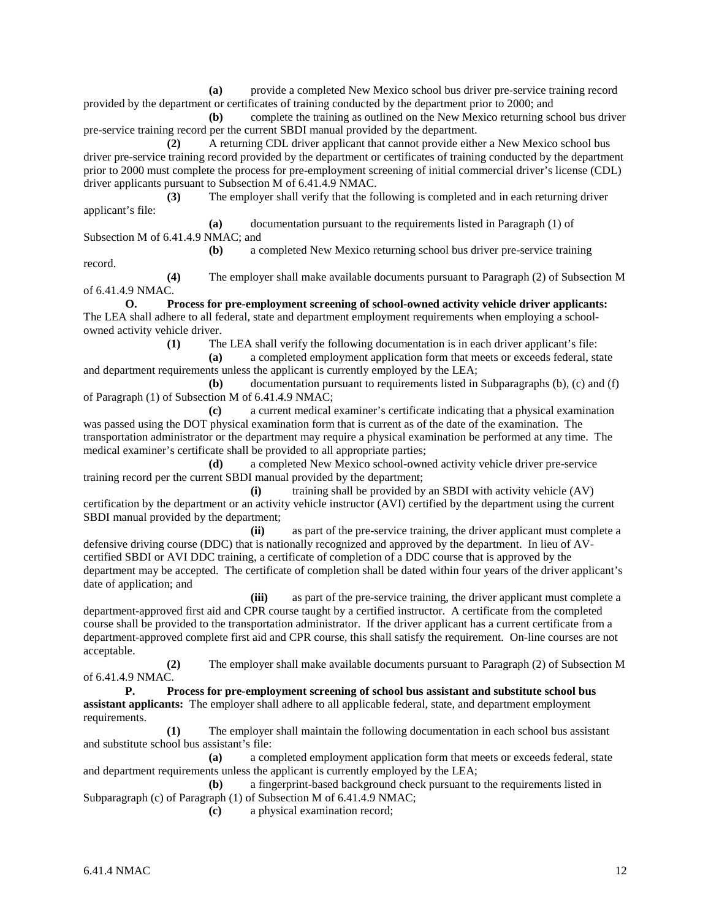**(a)** provide a completed New Mexico school bus driver pre-service training record provided by the department or certificates of training conducted by the department prior to 2000; and

**(b)** complete the training as outlined on the New Mexico returning school bus driver pre-service training record per the current SBDI manual provided by the department.

**(2)** A returning CDL driver applicant that cannot provide either a New Mexico school bus driver pre-service training record provided by the department or certificates of training conducted by the department prior to 2000 must complete the process for pre-employment screening of initial commercial driver's license (CDL) driver applicants pursuant to Subsection M of 6.41.4.9 NMAC.

**(3)** The employer shall verify that the following is completed and in each returning driver applicant's file:

**(a)** documentation pursuant to the requirements listed in Paragraph (1) of Subsection M of 6.41.4.9 NMAC; and

**(b)** a completed New Mexico returning school bus driver pre-service training record.

**(4)** The employer shall make available documents pursuant to Paragraph (2) of Subsection M of 6.41.4.9 NMAC.

**O. Process for pre-employment screening of school-owned activity vehicle driver applicants:**  The LEA shall adhere to all federal, state and department employment requirements when employing a schoolowned activity vehicle driver.

**(1)** The LEA shall verify the following documentation is in each driver applicant's file:

**(a)** a completed employment application form that meets or exceeds federal, state and department requirements unless the applicant is currently employed by the LEA;

**(b)** documentation pursuant to requirements listed in Subparagraphs (b), (c) and (f) of Paragraph (1) of Subsection M of 6.41.4.9 NMAC;

**(c)** a current medical examiner's certificate indicating that a physical examination was passed using the DOT physical examination form that is current as of the date of the examination. The transportation administrator or the department may require a physical examination be performed at any time. The medical examiner's certificate shall be provided to all appropriate parties;

**(d)** a completed New Mexico school-owned activity vehicle driver pre-service training record per the current SBDI manual provided by the department;

**(i)** training shall be provided by an SBDI with activity vehicle (AV) certification by the department or an activity vehicle instructor (AVI) certified by the department using the current SBDI manual provided by the department;

**(ii)** as part of the pre-service training, the driver applicant must complete a defensive driving course (DDC) that is nationally recognized and approved by the department. In lieu of AVcertified SBDI or AVI DDC training, a certificate of completion of a DDC course that is approved by the department may be accepted. The certificate of completion shall be dated within four years of the driver applicant's date of application; and

**(iii)** as part of the pre-service training, the driver applicant must complete a department-approved first aid and CPR course taught by a certified instructor. A certificate from the completed course shall be provided to the transportation administrator. If the driver applicant has a current certificate from a department-approved complete first aid and CPR course, this shall satisfy the requirement. On-line courses are not acceptable.

**(2)** The employer shall make available documents pursuant to Paragraph (2) of Subsection M of 6.41.4.9 NMAC.

**P. Process for pre-employment screening of school bus assistant and substitute school bus assistant applicants:** The employer shall adhere to all applicable federal, state, and department employment requirements.

**(1)** The employer shall maintain the following documentation in each school bus assistant and substitute school bus assistant's file:

**(a)** a completed employment application form that meets or exceeds federal, state and department requirements unless the applicant is currently employed by the LEA;

**(b)** a fingerprint-based background check pursuant to the requirements listed in Subparagraph (c) of Paragraph (1) of Subsection M of 6.41.4.9 NMAC;

**(c)** a physical examination record;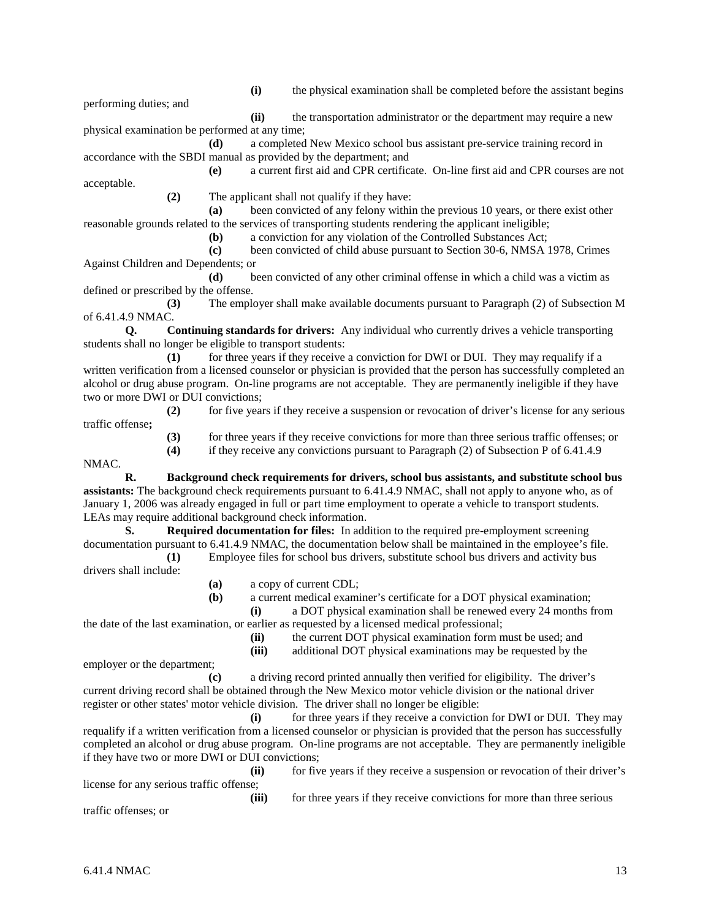performing duties; and

**(i)** the physical examination shall be completed before the assistant begins

**(ii)** the transportation administrator or the department may require a new physical examination be performed at any time;

**(d)** a completed New Mexico school bus assistant pre-service training record in accordance with the SBDI manual as provided by the department; and

**(e)** a current first aid and CPR certificate. On-line first aid and CPR courses are not acceptable.

**(2)** The applicant shall not qualify if they have:

**(a)** been convicted of any felony within the previous 10 years, or there exist other reasonable grounds related to the services of transporting students rendering the applicant ineligible;

**(b)** a conviction for any violation of the Controlled Substances Act;

**(c)** been convicted of child abuse pursuant to Section 30-6, NMSA 1978, Crimes Against Children and Dependents; or

**(d)** been convicted of any other criminal offense in which a child was a victim as defined or prescribed by the offense.

**(3)** The employer shall make available documents pursuant to Paragraph (2) of Subsection M of 6.41.4.9 NMAC.

**Q. Continuing standards for drivers:** Any individual who currently drives a vehicle transporting students shall no longer be eligible to transport students:

**(1)** for three years if they receive a conviction for DWI or DUI. They may requalify if a written verification from a licensed counselor or physician is provided that the person has successfully completed an alcohol or drug abuse program. On-line programs are not acceptable. They are permanently ineligible if they have two or more DWI or DUI convictions;

**(2)** for five years if they receive a suspension or revocation of driver's license for any serious

**(3)** for three years if they receive convictions for more than three serious traffic offenses; or **(4)** if they receive any convictions pursuant to Paragraph (2) of Subsection P of 6.41.4.9

NMAC.

traffic offense**;**

**R. Background check requirements for drivers, school bus assistants, and substitute school bus assistants:** The background check requirements pursuant to 6.41.4.9 NMAC, shall not apply to anyone who, as of January 1, 2006 was already engaged in full or part time employment to operate a vehicle to transport students. LEAs may require additional background check information.

**S. Required documentation for files:** In addition to the required pre-employment screening documentation pursuant to 6.41.4.9 NMAC, the documentation below shall be maintained in the employee's file.

**(1)** Employee files for school bus drivers, substitute school bus drivers and activity bus drivers shall include:

**(a)** a copy of current CDL;

**(b)** a current medical examiner's certificate for a DOT physical examination;

**(i)** a DOT physical examination shall be renewed every 24 months from the date of the last examination, or earlier as requested by a licensed medical professional;

- - **(ii)** the current DOT physical examination form must be used; and **(iii)** additional DOT physical examinations may be requested by the

employer or the department;

**(c)** a driving record printed annually then verified for eligibility. The driver's current driving record shall be obtained through the New Mexico motor vehicle division or the national driver register or other states' motor vehicle division. The driver shall no longer be eligible:

**(i)** for three years if they receive a conviction for DWI or DUI. They may requalify if a written verification from a licensed counselor or physician is provided that the person has successfully completed an alcohol or drug abuse program. On-line programs are not acceptable. They are permanently ineligible if they have two or more DWI or DUI convictions;

**(ii)** for five years if they receive a suspension or revocation of their driver's license for any serious traffic offense;

(iii) for three years if they receive convictions for more than three serious traffic offenses; or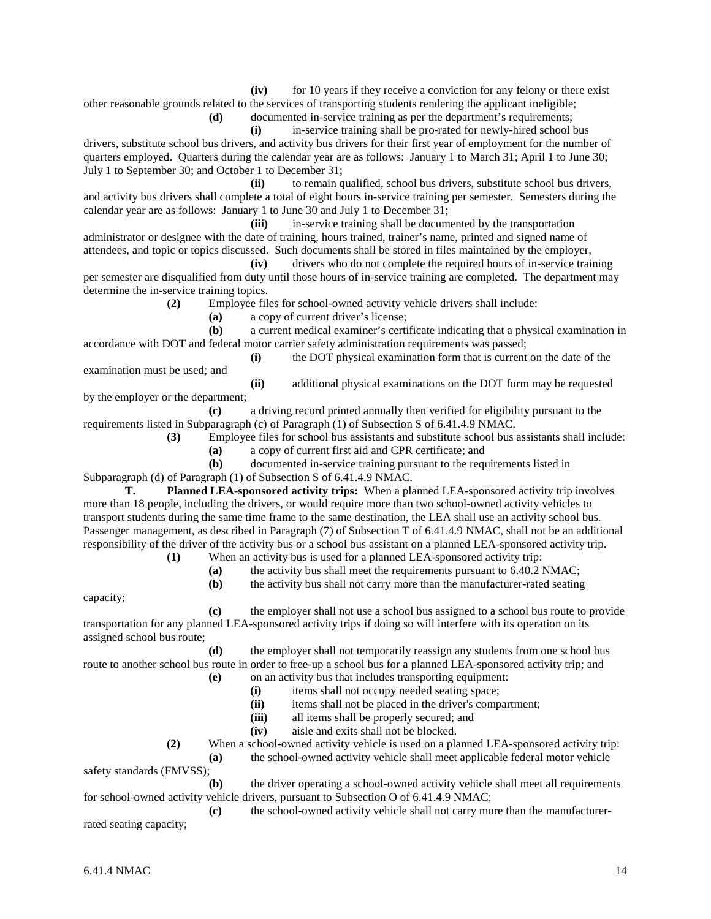**(iv)** for 10 years if they receive a conviction for any felony or there exist other reasonable grounds related to the services of transporting students rendering the applicant ineligible;

**(d)** documented in-service training as per the department's requirements;

**(i)** in-service training shall be pro-rated for newly-hired school bus

drivers, substitute school bus drivers, and activity bus drivers for their first year of employment for the number of quarters employed. Quarters during the calendar year are as follows: January 1 to March 31; April 1 to June 30; July 1 to September 30; and October 1 to December 31;

**(ii)** to remain qualified, school bus drivers, substitute school bus drivers, and activity bus drivers shall complete a total of eight hours in-service training per semester. Semesters during the calendar year are as follows: January 1 to June 30 and July 1 to December 31;

**(iii)** in-service training shall be documented by the transportation administrator or designee with the date of training, hours trained, trainer's name, printed and signed name of attendees, and topic or topics discussed. Such documents shall be stored in files maintained by the employer,

**(iv)** drivers who do not complete the required hours of in-service training per semester are disqualified from duty until those hours of in-service training are completed. The department may determine the in-service training topics.

**(2)** Employee files for school-owned activity vehicle drivers shall include:

**(a)** a copy of current driver's license;

**(b)** a current medical examiner's certificate indicating that a physical examination in accordance with DOT and federal motor carrier safety administration requirements was passed;

**(i)** the DOT physical examination form that is current on the date of the examination must be used; and

**(ii)** additional physical examinations on the DOT form may be requested by the employer or the department;

**(c)** a driving record printed annually then verified for eligibility pursuant to the requirements listed in Subparagraph (c) of Paragraph (1) of Subsection S of 6.41.4.9 NMAC.

**(3)** Employee files for school bus assistants and substitute school bus assistants shall include:

**(a)** a copy of current first aid and CPR certificate; and

**(b)** documented in-service training pursuant to the requirements listed in

Subparagraph (d) of Paragraph (1) of Subsection S of 6.41.4.9 NMAC.

**T. Planned LEA-sponsored activity trips:** When a planned LEA-sponsored activity trip involves more than 18 people, including the drivers, or would require more than two school-owned activity vehicles to transport students during the same time frame to the same destination, the LEA shall use an activity school bus. Passenger management, as described in Paragraph (7) of Subsection T of 6.41.4.9 NMAC, shall not be an additional responsibility of the driver of the activity bus or a school bus assistant on a planned LEA-sponsored activity trip.

**(1)** When an activity bus is used for a planned LEA-sponsored activity trip:

**(a)** the activity bus shall meet the requirements pursuant to 6.40.2 NMAC;

**(b)** the activity bus shall not carry more than the manufacturer-rated seating

capacity;

**(c)** the employer shall not use a school bus assigned to a school bus route to provide transportation for any planned LEA-sponsored activity trips if doing so will interfere with its operation on its assigned school bus route;

**(d)** the employer shall not temporarily reassign any students from one school bus route to another school bus route in order to free-up a school bus for a planned LEA-sponsored activity trip; and

- **(e)** on an activity bus that includes transporting equipment:
	- **(i)** items shall not occupy needed seating space;

**(ii)** items shall not be placed in the driver's compartment;

- **(iii)** all items shall be properly secured; and
- **(iv)** aisle and exits shall not be blocked.

**(2)** When a school-owned activity vehicle is used on a planned LEA-sponsored activity trip:

**(a)** the school-owned activity vehicle shall meet applicable federal motor vehicle

safety standards (FMVSS);

**(b)** the driver operating a school-owned activity vehicle shall meet all requirements for school-owned activity vehicle drivers, pursuant to Subsection O of 6.41.4.9 NMAC;

**(c)** the school-owned activity vehicle shall not carry more than the manufacturerrated seating capacity;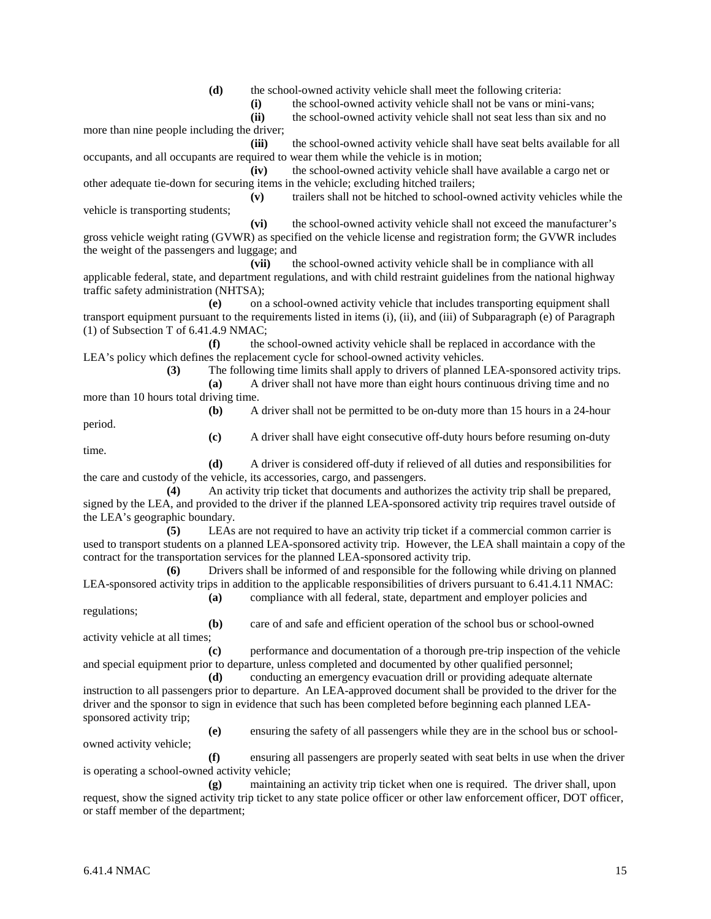**(d)** the school-owned activity vehicle shall meet the following criteria:

**(i)** the school-owned activity vehicle shall not be vans or mini-vans;

**(ii)** the school-owned activity vehicle shall not seat less than six and no more than nine people including the driver;

**(iii)** the school-owned activity vehicle shall have seat belts available for all occupants, and all occupants are required to wear them while the vehicle is in motion;

**(iv)** the school-owned activity vehicle shall have available a cargo net or other adequate tie-down for securing items in the vehicle; excluding hitched trailers;

vehicle is transporting students;

**(v)** trailers shall not be hitched to school-owned activity vehicles while the

**(vi)** the school-owned activity vehicle shall not exceed the manufacturer's gross vehicle weight rating (GVWR) as specified on the vehicle license and registration form; the GVWR includes the weight of the passengers and luggage; and

**(vii)** the school-owned activity vehicle shall be in compliance with all applicable federal, state, and department regulations, and with child restraint guidelines from the national highway traffic safety administration (NHTSA);

**(e)** on a school-owned activity vehicle that includes transporting equipment shall transport equipment pursuant to the requirements listed in items (i), (ii), and (iii) of Subparagraph (e) of Paragraph (1) of Subsection T of 6.41.4.9 NMAC;

**(f)** the school-owned activity vehicle shall be replaced in accordance with the LEA's policy which defines the replacement cycle for school-owned activity vehicles.

**(3)** The following time limits shall apply to drivers of planned LEA-sponsored activity trips.

**(a)** A driver shall not have more than eight hours continuous driving time and no more than 10 hours total driving time.

**(b)** A driver shall not be permitted to be on-duty more than 15 hours in a 24-hour

period. time.

**(c)** A driver shall have eight consecutive off-duty hours before resuming on-duty

**(d)** A driver is considered off-duty if relieved of all duties and responsibilities for the care and custody of the vehicle, its accessories, cargo, and passengers.

**(4)** An activity trip ticket that documents and authorizes the activity trip shall be prepared, signed by the LEA, and provided to the driver if the planned LEA-sponsored activity trip requires travel outside of the LEA's geographic boundary.

**(5)** LEAs are not required to have an activity trip ticket if a commercial common carrier is used to transport students on a planned LEA-sponsored activity trip. However, the LEA shall maintain a copy of the contract for the transportation services for the planned LEA-sponsored activity trip.

**(6)** Drivers shall be informed of and responsible for the following while driving on planned LEA-sponsored activity trips in addition to the applicable responsibilities of drivers pursuant to 6.41.4.11 NMAC: **(a)** compliance with all federal, state, department and employer policies and

regulations;

**(b)** care of and safe and efficient operation of the school bus or school-owned

activity vehicle at all times;

**(c)** performance and documentation of a thorough pre-trip inspection of the vehicle and special equipment prior to departure, unless completed and documented by other qualified personnel;

**(d)** conducting an emergency evacuation drill or providing adequate alternate instruction to all passengers prior to departure. An LEA-approved document shall be provided to the driver for the driver and the sponsor to sign in evidence that such has been completed before beginning each planned LEAsponsored activity trip;

**(e)** ensuring the safety of all passengers while they are in the school bus or schoolowned activity vehicle;

**(f)** ensuring all passengers are properly seated with seat belts in use when the driver is operating a school-owned activity vehicle;

**(g)** maintaining an activity trip ticket when one is required. The driver shall, upon request, show the signed activity trip ticket to any state police officer or other law enforcement officer, DOT officer, or staff member of the department;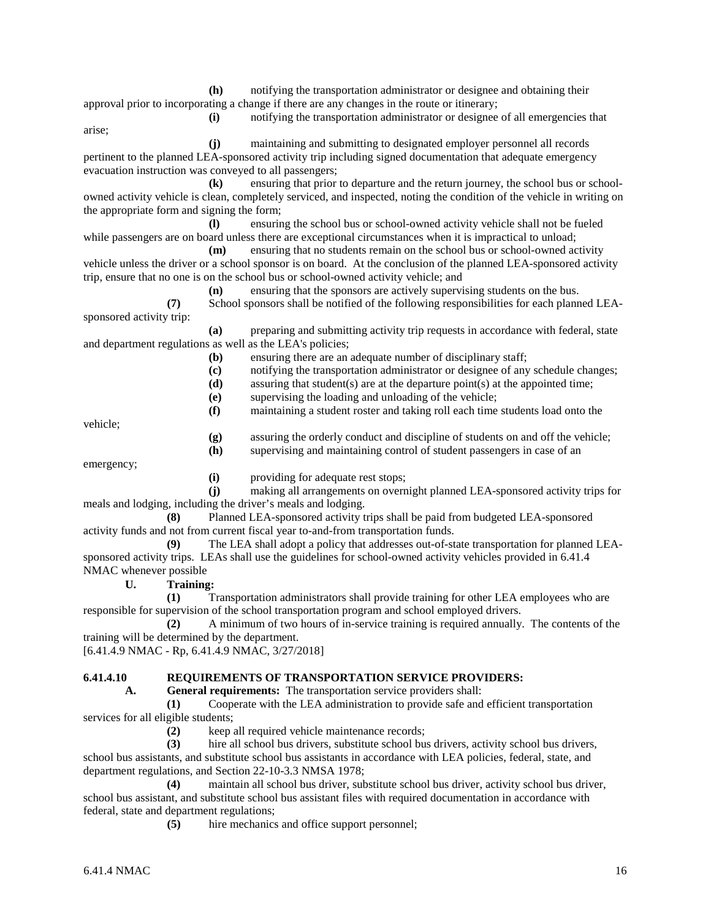**(h)** notifying the transportation administrator or designee and obtaining their approval prior to incorporating a change if there are any changes in the route or itinerary;

arise;

**(i)** notifying the transportation administrator or designee of all emergencies that

**(j)** maintaining and submitting to designated employer personnel all records pertinent to the planned LEA-sponsored activity trip including signed documentation that adequate emergency evacuation instruction was conveyed to all passengers;

**(k)** ensuring that prior to departure and the return journey, the school bus or schoolowned activity vehicle is clean, completely serviced, and inspected, noting the condition of the vehicle in writing on the appropriate form and signing the form;

**(l)** ensuring the school bus or school-owned activity vehicle shall not be fueled while passengers are on board unless there are exceptional circumstances when it is impractical to unload;

**(m)** ensuring that no students remain on the school bus or school-owned activity vehicle unless the driver or a school sponsor is on board. At the conclusion of the planned LEA-sponsored activity trip, ensure that no one is on the school bus or school-owned activity vehicle; and

**(n)** ensuring that the sponsors are actively supervising students on the bus.

**(7)** School sponsors shall be notified of the following responsibilities for each planned LEAsponsored activity trip:

**(a)** preparing and submitting activity trip requests in accordance with federal, state and department regulations as well as the LEA's policies;

**(b)** ensuring there are an adequate number of disciplinary staff;

- **(c)** notifying the transportation administrator or designee of any schedule changes;
- **(d)** assuring that student(s) are at the departure point(s) at the appointed time;
- **(e)** supervising the loading and unloading of the vehicle;
- **(f)** maintaining a student roster and taking roll each time students load onto the

vehicle;

**(g)** assuring the orderly conduct and discipline of students on and off the vehicle;

**(h)** supervising and maintaining control of student passengers in case of an

emergency;

**(i)** providing for adequate rest stops;

**(j)** making all arrangements on overnight planned LEA-sponsored activity trips for meals and lodging, including the driver's meals and lodging.

**(8)** Planned LEA-sponsored activity trips shall be paid from budgeted LEA-sponsored activity funds and not from current fiscal year to-and-from transportation funds.

**(9)** The LEA shall adopt a policy that addresses out-of-state transportation for planned LEAsponsored activity trips. LEAs shall use the guidelines for school-owned activity vehicles provided in 6.41.4 NMAC whenever possible

**U. Training:**

**(1)** Transportation administrators shall provide training for other LEA employees who are responsible for supervision of the school transportation program and school employed drivers.

**(2)** A minimum of two hours of in-service training is required annually. The contents of the training will be determined by the department.

[6.41.4.9 NMAC - Rp, 6.41.4.9 NMAC, 3/27/2018]

## **6.41.4.10 REQUIREMENTS OF TRANSPORTATION SERVICE PROVIDERS:**

**A. General requirements:** The transportation service providers shall:

**(1)** Cooperate with the LEA administration to provide safe and efficient transportation services for all eligible students;

**(2)** keep all required vehicle maintenance records;

**(3)** hire all school bus drivers, substitute school bus drivers, activity school bus drivers, school bus assistants, and substitute school bus assistants in accordance with LEA policies, federal, state, and department regulations, and Section 22-10-3.3 NMSA 1978;

**(4)** maintain all school bus driver, substitute school bus driver, activity school bus driver, school bus assistant, and substitute school bus assistant files with required documentation in accordance with federal, state and department regulations;

**(5)** hire mechanics and office support personnel;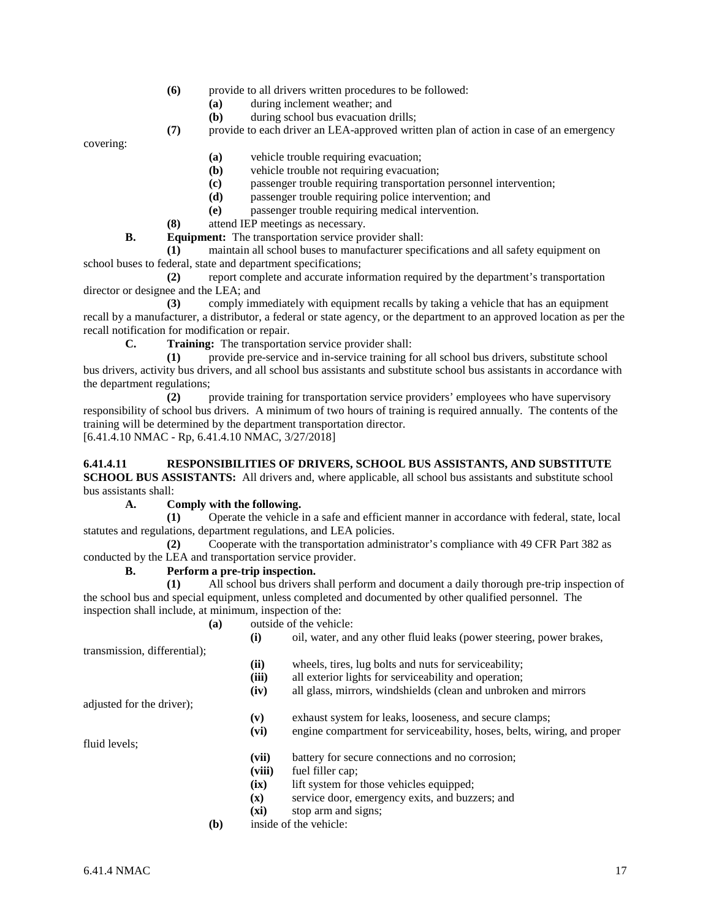- **(6)** provide to all drivers written procedures to be followed:
	- **(a)** during inclement weather; and
	- **(b)** during school bus evacuation drills;

**(7)** provide to each driver an LEA-approved written plan of action in case of an emergency

covering:

- **(a)** vehicle trouble requiring evacuation;
- **(b)** vehicle trouble not requiring evacuation;
- **(c)** passenger trouble requiring transportation personnel intervention;
- **(d)** passenger trouble requiring police intervention; and
- **(e)** passenger trouble requiring medical intervention.
- **(8)** attend IEP meetings as necessary.

**B. Equipment:** The transportation service provider shall:

**(1)** maintain all school buses to manufacturer specifications and all safety equipment on school buses to federal, state and department specifications;

**(2)** report complete and accurate information required by the department's transportation director or designee and the LEA; and

**(3)** comply immediately with equipment recalls by taking a vehicle that has an equipment recall by a manufacturer, a distributor, a federal or state agency, or the department to an approved location as per the recall notification for modification or repair.<br> **C.** Training: The transportat

**Training:** The transportation service provider shall:

**(1)** provide pre-service and in-service training for all school bus drivers, substitute school bus drivers, activity bus drivers, and all school bus assistants and substitute school bus assistants in accordance with the department regulations;

**(2)** provide training for transportation service providers' employees who have supervisory responsibility of school bus drivers. A minimum of two hours of training is required annually. The contents of the training will be determined by the department transportation director. [6.41.4.10 NMAC - Rp, 6.41.4.10 NMAC, 3/27/2018]

#### **6.41.4.11 RESPONSIBILITIES OF DRIVERS, SCHOOL BUS ASSISTANTS, AND SUBSTITUTE SCHOOL BUS ASSISTANTS:** All drivers and, where applicable, all school bus assistants and substitute school bus assistants shall:

# **A. Comply with the following.**

**(1)** Operate the vehicle in a safe and efficient manner in accordance with federal, state, local statutes and regulations, department regulations, and LEA policies.

**(2)** Cooperate with the transportation administrator's compliance with 49 CFR Part 382 as conducted by the LEA and transportation service provider.

## **B. Perform a pre-trip inspection.**

**(1)** All school bus drivers shall perform and document a daily thorough pre-trip inspection of the school bus and special equipment, unless completed and documented by other qualified personnel. The inspection shall include, at minimum, inspection of the:

**(a)** outside of the vehicle:

| oil, water, and any other fluid leaks (power steering, power brakes,<br>(i) |  |
|-----------------------------------------------------------------------------|--|
|-----------------------------------------------------------------------------|--|

transmission, differential);

- **(ii)** wheels, tires, lug bolts and nuts for serviceability;
- **(iii)** all exterior lights for serviceability and operation;
- **(iv)** all glass, mirrors, windshields (clean and unbroken and mirrors

adjusted for the driver);

**(v)** exhaust system for leaks, looseness, and secure clamps;

**(vi)** engine compartment for serviceability, hoses, belts, wiring, and proper

fluid levels;

- **(vii)** battery for secure connections and no corrosion;
- **(viii)** fuel filler cap;
- **(ix)** lift system for those vehicles equipped;
- **(x)** service door, emergency exits, and buzzers; and
- **(xi)** stop arm and signs;
- **(b)** inside of the vehicle: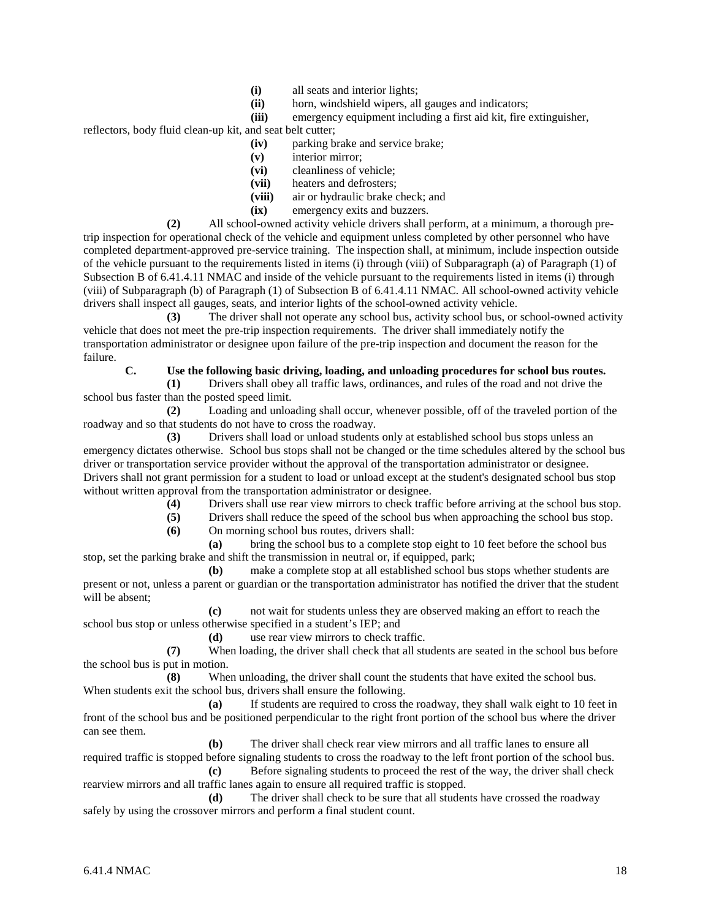- **(i)** all seats and interior lights;<br>**(ii)** horn, windshield wipers, all
- horn, windshield wipers, all gauges and indicators;
- **(iii)** emergency equipment including a first aid kit, fire extinguisher,

reflectors, body fluid clean-up kit, and seat belt cutter;

- **(iv)** parking brake and service brake;
- **(v)** interior mirror;
- **(vi)** cleanliness of vehicle;
- **(vii)** heaters and defrosters;
- **(viii)** air or hydraulic brake check; and
- **(ix)** emergency exits and buzzers.

**(2)** All school-owned activity vehicle drivers shall perform, at a minimum, a thorough pretrip inspection for operational check of the vehicle and equipment unless completed by other personnel who have completed department-approved pre-service training. The inspection shall, at minimum, include inspection outside of the vehicle pursuant to the requirements listed in items (i) through (viii) of Subparagraph (a) of Paragraph (1) of Subsection B of 6.41.4.11 NMAC and inside of the vehicle pursuant to the requirements listed in items (i) through (viii) of Subparagraph (b) of Paragraph (1) of Subsection B of 6.41.4.11 NMAC. All school-owned activity vehicle drivers shall inspect all gauges, seats, and interior lights of the school-owned activity vehicle.

**(3)** The driver shall not operate any school bus, activity school bus, or school-owned activity vehicle that does not meet the pre-trip inspection requirements. The driver shall immediately notify the transportation administrator or designee upon failure of the pre-trip inspection and document the reason for the failure.

## **C. Use the following basic driving, loading, and unloading procedures for school bus routes.**

**(1)** Drivers shall obey all traffic laws, ordinances, and rules of the road and not drive the school bus faster than the posted speed limit.

**(2)** Loading and unloading shall occur, whenever possible, off of the traveled portion of the roadway and so that students do not have to cross the roadway.

**(3)** Drivers shall load or unload students only at established school bus stops unless an emergency dictates otherwise. School bus stops shall not be changed or the time schedules altered by the school bus driver or transportation service provider without the approval of the transportation administrator or designee. Drivers shall not grant permission for a student to load or unload except at the student's designated school bus stop without written approval from the transportation administrator or designee.

**(4)** Drivers shall use rear view mirrors to check traffic before arriving at the school bus stop.

**(5)** Drivers shall reduce the speed of the school bus when approaching the school bus stop.

**(6)** On morning school bus routes, drivers shall:

**(a)** bring the school bus to a complete stop eight to 10 feet before the school bus stop, set the parking brake and shift the transmission in neutral or, if equipped, park;

**(b)** make a complete stop at all established school bus stops whether students are present or not, unless a parent or guardian or the transportation administrator has notified the driver that the student will be absent;

**(c)** not wait for students unless they are observed making an effort to reach the school bus stop or unless otherwise specified in a student's IEP; and

**(d)** use rear view mirrors to check traffic.

**(7)** When loading, the driver shall check that all students are seated in the school bus before the school bus is put in motion.

**(8)** When unloading, the driver shall count the students that have exited the school bus. When students exit the school bus, drivers shall ensure the following.

**(a)** If students are required to cross the roadway, they shall walk eight to 10 feet in front of the school bus and be positioned perpendicular to the right front portion of the school bus where the driver can see them.

**(b)** The driver shall check rear view mirrors and all traffic lanes to ensure all required traffic is stopped before signaling students to cross the roadway to the left front portion of the school bus. **(c)** Before signaling students to proceed the rest of the way, the driver shall check rearview mirrors and all traffic lanes again to ensure all required traffic is stopped.

**(d)** The driver shall check to be sure that all students have crossed the roadway safely by using the crossover mirrors and perform a final student count.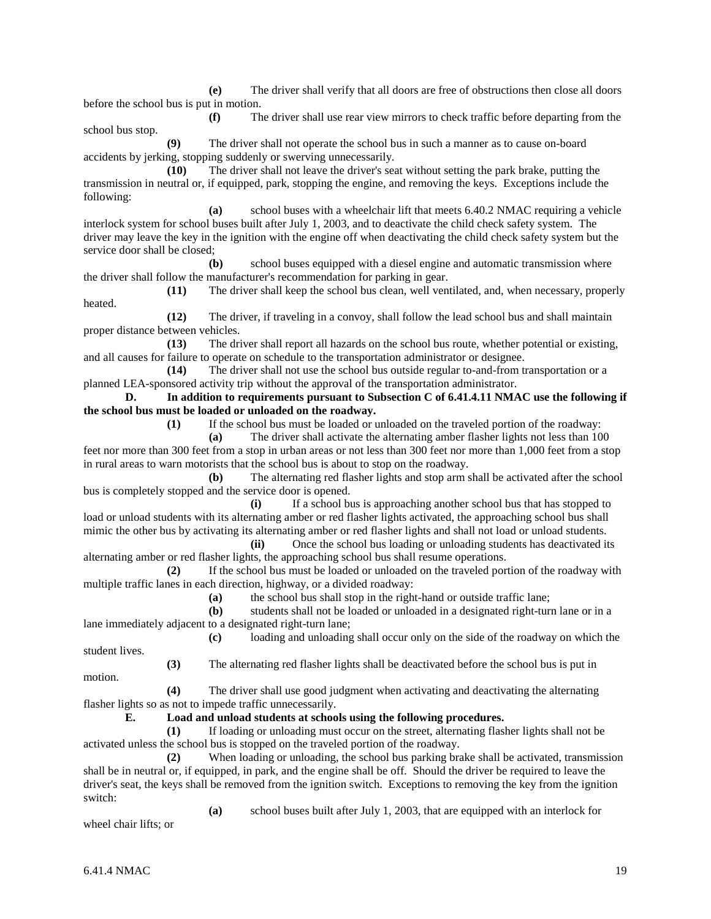**(e)** The driver shall verify that all doors are free of obstructions then close all doors before the school bus is put in motion.

**(f)** The driver shall use rear view mirrors to check traffic before departing from the school bus stop.

**(9)** The driver shall not operate the school bus in such a manner as to cause on-board accidents by jerking, stopping suddenly or swerving unnecessarily.

**(10)** The driver shall not leave the driver's seat without setting the park brake, putting the transmission in neutral or, if equipped, park, stopping the engine, and removing the keys. Exceptions include the following:

**(a)** school buses with a wheelchair lift that meets 6.40.2 NMAC requiring a vehicle interlock system for school buses built after July 1, 2003, and to deactivate the child check safety system. The driver may leave the key in the ignition with the engine off when deactivating the child check safety system but the service door shall be closed;

**(b)** school buses equipped with a diesel engine and automatic transmission where the driver shall follow the manufacturer's recommendation for parking in gear.

**(11)** The driver shall keep the school bus clean, well ventilated, and, when necessary, properly heated.

**(12)** The driver, if traveling in a convoy, shall follow the lead school bus and shall maintain proper distance between vehicles.

**(13)** The driver shall report all hazards on the school bus route, whether potential or existing, and all causes for failure to operate on schedule to the transportation administrator or designee.

**(14)** The driver shall not use the school bus outside regular to-and-from transportation or a planned LEA-sponsored activity trip without the approval of the transportation administrator.

**D. In addition to requirements pursuant to Subsection C of 6.41.4.11 NMAC use the following if the school bus must be loaded or unloaded on the roadway.**

**(1)** If the school bus must be loaded or unloaded on the traveled portion of the roadway:

**(a)** The driver shall activate the alternating amber flasher lights not less than 100 feet nor more than 300 feet from a stop in urban areas or not less than 300 feet nor more than 1,000 feet from a stop in rural areas to warn motorists that the school bus is about to stop on the roadway.

**(b)** The alternating red flasher lights and stop arm shall be activated after the school bus is completely stopped and the service door is opened.

**(i)** If a school bus is approaching another school bus that has stopped to load or unload students with its alternating amber or red flasher lights activated, the approaching school bus shall mimic the other bus by activating its alternating amber or red flasher lights and shall not load or unload students.

**(ii)** Once the school bus loading or unloading students has deactivated its alternating amber or red flasher lights, the approaching school bus shall resume operations.

**(2)** If the school bus must be loaded or unloaded on the traveled portion of the roadway with multiple traffic lanes in each direction, highway, or a divided roadway:

**(a)** the school bus shall stop in the right-hand or outside traffic lane;

**(b)** students shall not be loaded or unloaded in a designated right-turn lane or in a lane immediately adjacent to a designated right-turn lane;

**(c)** loading and unloading shall occur only on the side of the roadway on which the

**(3)** The alternating red flasher lights shall be deactivated before the school bus is put in motion.

**(4)** The driver shall use good judgment when activating and deactivating the alternating flasher lights so as not to impede traffic unnecessarily.

**E. Load and unload students at schools using the following procedures.**

**(1)** If loading or unloading must occur on the street, alternating flasher lights shall not be activated unless the school bus is stopped on the traveled portion of the roadway.

**(2)** When loading or unloading, the school bus parking brake shall be activated, transmission shall be in neutral or, if equipped, in park, and the engine shall be off. Should the driver be required to leave the driver's seat, the keys shall be removed from the ignition switch. Exceptions to removing the key from the ignition switch:

**(a)** school buses built after July 1, 2003, that are equipped with an interlock for

wheel chair lifts; or

student lives.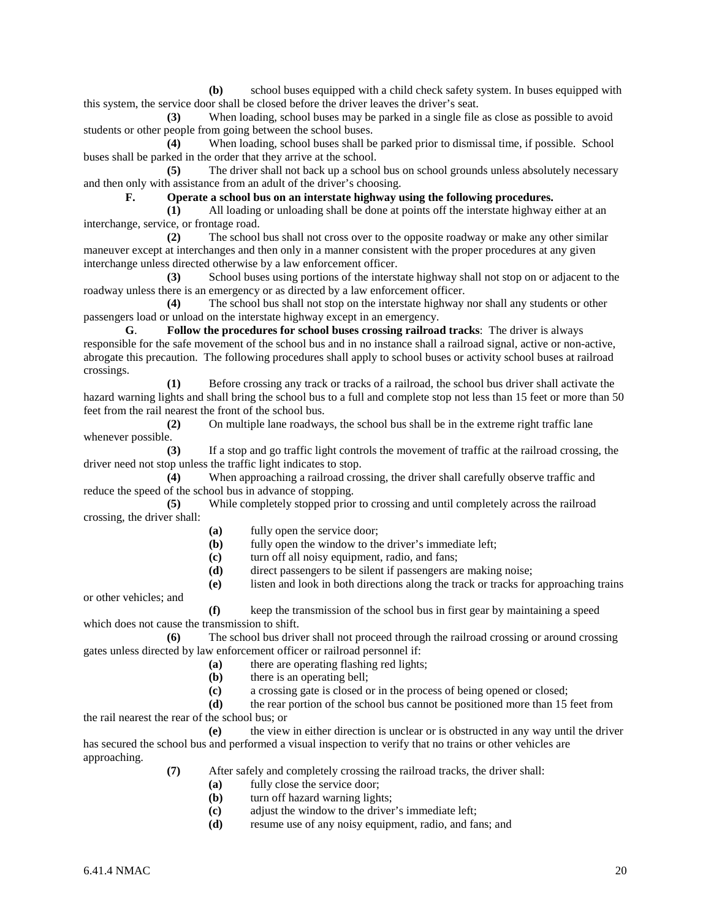**(b)** school buses equipped with a child check safety system. In buses equipped with this system, the service door shall be closed before the driver leaves the driver's seat.

**(3)** When loading, school buses may be parked in a single file as close as possible to avoid students or other people from going between the school buses.

**(4)** When loading, school buses shall be parked prior to dismissal time, if possible. School buses shall be parked in the order that they arrive at the school.

**(5)** The driver shall not back up a school bus on school grounds unless absolutely necessary and then only with assistance from an adult of the driver's choosing.

**F. Operate a school bus on an interstate highway using the following procedures.**

**(1)** All loading or unloading shall be done at points off the interstate highway either at an interchange, service, or frontage road.

**(2)** The school bus shall not cross over to the opposite roadway or make any other similar maneuver except at interchanges and then only in a manner consistent with the proper procedures at any given interchange unless directed otherwise by a law enforcement officer.

**(3)** School buses using portions of the interstate highway shall not stop on or adjacent to the roadway unless there is an emergency or as directed by a law enforcement officer.

**(4)** The school bus shall not stop on the interstate highway nor shall any students or other passengers load or unload on the interstate highway except in an emergency.

**G**. **Follow the procedures for school buses crossing railroad tracks**: The driver is always responsible for the safe movement of the school bus and in no instance shall a railroad signal, active or non-active, abrogate this precaution. The following procedures shall apply to school buses or activity school buses at railroad crossings.

**(1)** Before crossing any track or tracks of a railroad, the school bus driver shall activate the hazard warning lights and shall bring the school bus to a full and complete stop not less than 15 feet or more than 50 feet from the rail nearest the front of the school bus.

**(2)** On multiple lane roadways, the school bus shall be in the extreme right traffic lane whenever possible.

**(3)** If a stop and go traffic light controls the movement of traffic at the railroad crossing, the driver need not stop unless the traffic light indicates to stop.

**(4)** When approaching a railroad crossing, the driver shall carefully observe traffic and reduce the speed of the school bus in advance of stopping.

**(5)** While completely stopped prior to crossing and until completely across the railroad crossing, the driver shall:

- **(a)** fully open the service door;<br>**(b)** fully open the window to the
- fully open the window to the driver's immediate left;
- **(c)** turn off all noisy equipment, radio, and fans;
- **(d)** direct passengers to be silent if passengers are making noise;
- **(e)** listen and look in both directions along the track or tracks for approaching trains

or other vehicles; and

**(f)** keep the transmission of the school bus in first gear by maintaining a speed which does not cause the transmission to shift.

**(6)** The school bus driver shall not proceed through the railroad crossing or around crossing gates unless directed by law enforcement officer or railroad personnel if:

- **(a)** there are operating flashing red lights;
- **(b)** there is an operating bell;
- **(c)** a crossing gate is closed or in the process of being opened or closed;
- **(d)** the rear portion of the school bus cannot be positioned more than 15 feet from the rail nearest the rear of the school bus; or

**(e)** the view in either direction is unclear or is obstructed in any way until the driver has secured the school bus and performed a visual inspection to verify that no trains or other vehicles are approaching.

- **(7)** After safely and completely crossing the railroad tracks, the driver shall:
	- **(a)** fully close the service door;
	- **(b)** turn off hazard warning lights;
	- **(c)** adjust the window to the driver's immediate left;
	- **(d)** resume use of any noisy equipment, radio, and fans; and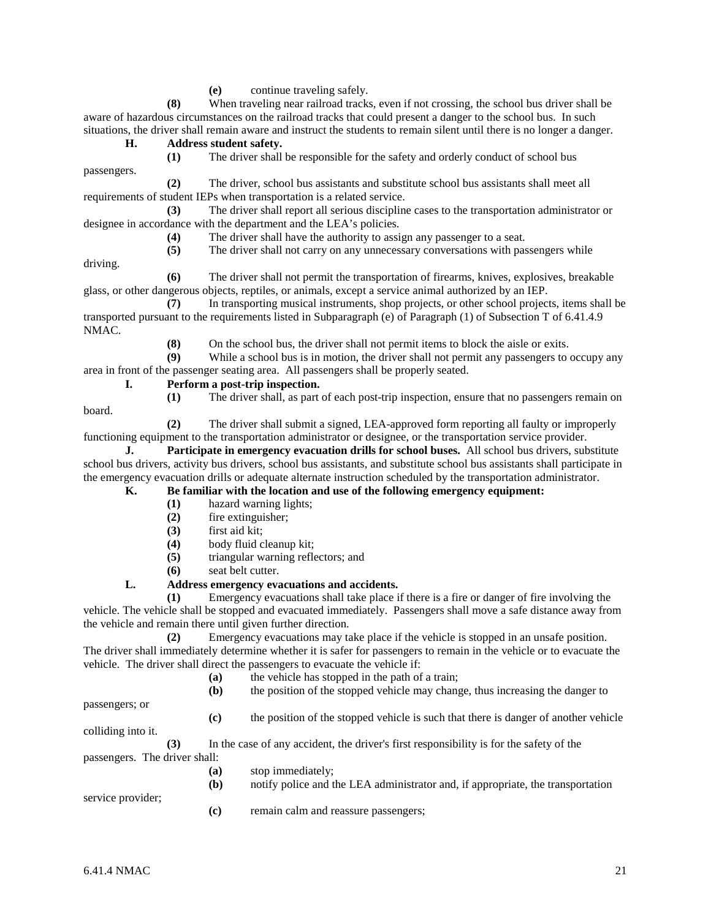**(e)** continue traveling safely.

**(8)** When traveling near railroad tracks, even if not crossing, the school bus driver shall be aware of hazardous circumstances on the railroad tracks that could present a danger to the school bus. In such situations, the driver shall remain aware and instruct the students to remain silent until there is no longer a danger.

#### **H. Address student safety.**

passengers.

driving.

**(1)** The driver shall be responsible for the safety and orderly conduct of school bus

**(2)** The driver, school bus assistants and substitute school bus assistants shall meet all requirements of student IEPs when transportation is a related service.

**(3)** The driver shall report all serious discipline cases to the transportation administrator or designee in accordance with the department and the LEA's policies.

**(4)** The driver shall have the authority to assign any passenger to a seat.

**(5)** The driver shall not carry on any unnecessary conversations with passengers while

**(6)** The driver shall not permit the transportation of firearms, knives, explosives, breakable glass, or other dangerous objects, reptiles, or animals, except a service animal authorized by an IEP.

**(7)** In transporting musical instruments, shop projects, or other school projects, items shall be transported pursuant to the requirements listed in Subparagraph (e) of Paragraph (1) of Subsection T of 6.41.4.9 NMAC.

**(8)** On the school bus, the driver shall not permit items to block the aisle or exits.<br>**(9)** While a school bus is in motion, the driver shall not permit any passengers to a

While a school bus is in motion, the driver shall not permit any passengers to occupy any area in front of the passenger seating area. All passengers shall be properly seated.

## **I. Perform a post-trip inspection.**

**(1)** The driver shall, as part of each post-trip inspection, ensure that no passengers remain on board.

**(2)** The driver shall submit a signed, LEA-approved form reporting all faulty or improperly functioning equipment to the transportation administrator or designee, or the transportation service provider.

**J. Participate in emergency evacuation drills for school buses.** All school bus drivers, substitute school bus drivers, activity bus drivers, school bus assistants, and substitute school bus assistants shall participate in the emergency evacuation drills or adequate alternate instruction scheduled by the transportation administrator.

# **K. Be familiar with the location and use of the following emergency equipment:**

- **(1)** hazard warning lights;
- **(2)** fire extinguisher;
- **(3)** first aid kit;
- **(4)** body fluid cleanup kit;
- **(5)** triangular warning reflectors; and
- **(6)** seat belt cutter.

# **L. Address emergency evacuations and accidents.**

**(1)** Emergency evacuations shall take place if there is a fire or danger of fire involving the vehicle. The vehicle shall be stopped and evacuated immediately. Passengers shall move a safe distance away from the vehicle and remain there until given further direction.

**(2)** Emergency evacuations may take place if the vehicle is stopped in an unsafe position. The driver shall immediately determine whether it is safer for passengers to remain in the vehicle or to evacuate the vehicle. The driver shall direct the passengers to evacuate the vehicle if:

**(a)** the vehicle has stopped in the path of a train;

**(b)** the position of the stopped vehicle may change, thus increasing the danger to

passengers; or

**(c)** the position of the stopped vehicle is such that there is danger of another vehicle

colliding into it.

service provider;

**(3)** In the case of any accident, the driver's first responsibility is for the safety of the passengers. The driver shall:

- **(a)** stop immediately;
	- **(b)** notify police and the LEA administrator and, if appropriate, the transportation
		- **(c)** remain calm and reassure passengers;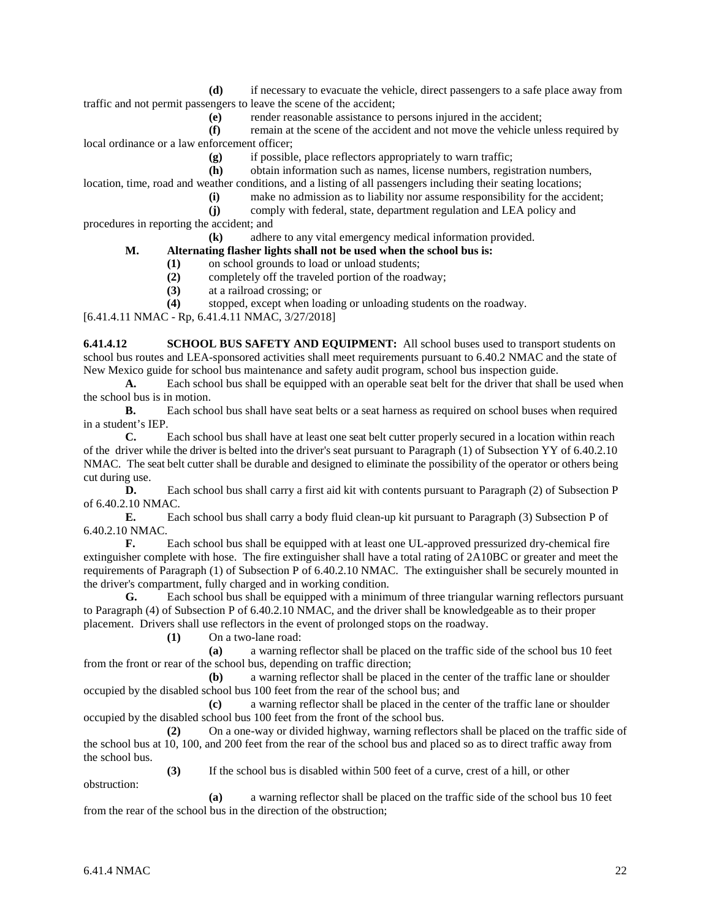**(d)** if necessary to evacuate the vehicle, direct passengers to a safe place away from traffic and not permit passengers to leave the scene of the accident;

**(e)** render reasonable assistance to persons injured in the accident;

**(f)** remain at the scene of the accident and not move the vehicle unless required by local ordinance or a law enforcement officer;

**(g)** if possible, place reflectors appropriately to warn traffic;

**(h)** obtain information such as names, license numbers, registration numbers,

location, time, road and weather conditions, and a listing of all passengers including their seating locations;

**(i)** make no admission as to liability nor assume responsibility for the accident;

**(j)** comply with federal, state, department regulation and LEA policy and procedures in reporting the accident; and

**(k)** adhere to any vital emergency medical information provided.

# **M. Alternating flasher lights shall not be used when the school bus is:**

- **(1)** on school grounds to load or unload students;
- **(2)** completely off the traveled portion of the roadway;
- **(3)** at a railroad crossing; or

**(4)** stopped, except when loading or unloading students on the roadway.

[6.41.4.11 NMAC - Rp, 6.41.4.11 NMAC, 3/27/2018]

**6.41.4.12 SCHOOL BUS SAFETY AND EQUIPMENT:** All school buses used to transport students on school bus routes and LEA-sponsored activities shall meet requirements pursuant to 6.40.2 NMAC and the state of New Mexico guide for school bus maintenance and safety audit program, school bus inspection guide.

**A.** Each school bus shall be equipped with an operable seat belt for the driver that shall be used when the school bus is in motion.

**B.** Each school bus shall have seat belts or a seat harness as required on school buses when required in a student's IEP.

**C.** Each school bus shall have at least one seat belt cutter properly secured in a location within reach of the driver while the driver is belted into the driver's seat pursuant to Paragraph (1) of Subsection YY of 6.40.2.10 NMAC. The seat belt cutter shall be durable and designed to eliminate the possibility of the operator or others being cut during use.

**D.** Each school bus shall carry a first aid kit with contents pursuant to Paragraph (2) of Subsection P of 6.40.2.10 NMAC.

**E.** Each school bus shall carry a body fluid clean-up kit pursuant to Paragraph (3) Subsection P of 6.40.2.10 NMAC.

**F.** Each school bus shall be equipped with at least one UL-approved pressurized dry-chemical fire extinguisher complete with hose. The fire extinguisher shall have a total rating of 2A10BC or greater and meet the requirements of Paragraph (1) of Subsection P of 6.40.2.10 NMAC. The extinguisher shall be securely mounted in the driver's compartment, fully charged and in working condition.

**G.** Each school bus shall be equipped with a minimum of three triangular warning reflectors pursuant to Paragraph (4) of Subsection P of 6.40.2.10 NMAC, and the driver shall be knowledgeable as to their proper placement. Drivers shall use reflectors in the event of prolonged stops on the roadway.

**(1)** On a two-lane road:

**(a)** a warning reflector shall be placed on the traffic side of the school bus 10 feet from the front or rear of the school bus, depending on traffic direction;

**(b)** a warning reflector shall be placed in the center of the traffic lane or shoulder occupied by the disabled school bus 100 feet from the rear of the school bus; and

**(c)** a warning reflector shall be placed in the center of the traffic lane or shoulder occupied by the disabled school bus 100 feet from the front of the school bus.

**(2)** On a one-way or divided highway, warning reflectors shall be placed on the traffic side of the school bus at 10, 100, and 200 feet from the rear of the school bus and placed so as to direct traffic away from the school bus.

**(3)** If the school bus is disabled within 500 feet of a curve, crest of a hill, or other obstruction:

**(a)** a warning reflector shall be placed on the traffic side of the school bus 10 feet from the rear of the school bus in the direction of the obstruction;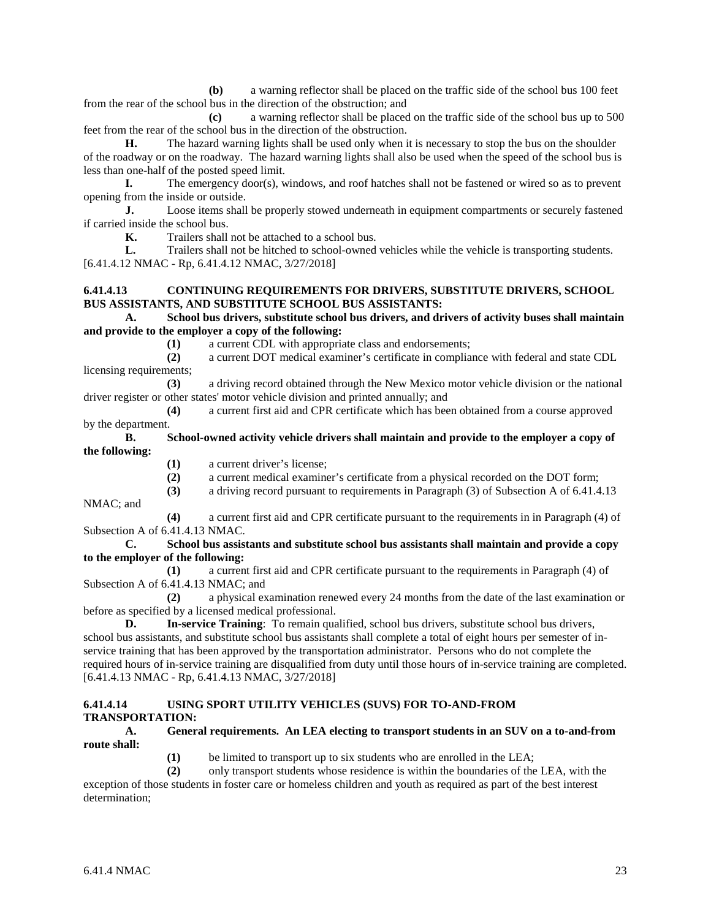**(b)** a warning reflector shall be placed on the traffic side of the school bus 100 feet from the rear of the school bus in the direction of the obstruction; and

**(c)** a warning reflector shall be placed on the traffic side of the school bus up to 500 feet from the rear of the school bus in the direction of the obstruction.

**H.** The hazard warning lights shall be used only when it is necessary to stop the bus on the shoulder of the roadway or on the roadway. The hazard warning lights shall also be used when the speed of the school bus is less than one-half of the posted speed limit.

**I.** The emergency door(s), windows, and roof hatches shall not be fastened or wired so as to prevent opening from the inside or outside.

**J.** Loose items shall be properly stowed underneath in equipment compartments or securely fastened if carried inside the school bus.

**K.** Trailers shall not be attached to a school bus.

**L.** Trailers shall not be hitched to school-owned vehicles while the vehicle is transporting students. [6.41.4.12 NMAC - Rp, 6.41.4.12 NMAC, 3/27/2018]

#### **6.41.4.13 CONTINUING REQUIREMENTS FOR DRIVERS, SUBSTITUTE DRIVERS, SCHOOL BUS ASSISTANTS, AND SUBSTITUTE SCHOOL BUS ASSISTANTS:**

#### **A. School bus drivers, substitute school bus drivers, and drivers of activity buses shall maintain and provide to the employer a copy of the following:**

**(1)** a current CDL with appropriate class and endorsements;

**(2)** a current DOT medical examiner's certificate in compliance with federal and state CDL licensing requirements;

**(3)** a driving record obtained through the New Mexico motor vehicle division or the national driver register or other states' motor vehicle division and printed annually; and

**(4)** a current first aid and CPR certificate which has been obtained from a course approved by the department.

#### **B. School-owned activity vehicle drivers shall maintain and provide to the employer a copy of the following:**

- **(1)** a current driver's license;
- **(2)** a current medical examiner's certificate from a physical recorded on the DOT form;
- **(3)** a driving record pursuant to requirements in Paragraph (3) of Subsection A of 6.41.4.13

NMAC; and

**(4)** a current first aid and CPR certificate pursuant to the requirements in in Paragraph (4) of Subsection A of 6.41.4.13 NMAC.

**C. School bus assistants and substitute school bus assistants shall maintain and provide a copy to the employer of the following:**

**(1)** a current first aid and CPR certificate pursuant to the requirements in Paragraph (4) of Subsection A of 6.41.4.13 NMAC; and

**(2)** a physical examination renewed every 24 months from the date of the last examination or before as specified by a licensed medical professional.

**D. In-service Training**: To remain qualified, school bus drivers, substitute school bus drivers, school bus assistants, and substitute school bus assistants shall complete a total of eight hours per semester of inservice training that has been approved by the transportation administrator. Persons who do not complete the required hours of in-service training are disqualified from duty until those hours of in-service training are completed. [6.41.4.13 NMAC - Rp, 6.41.4.13 NMAC, 3/27/2018]

## **6.41.4.14 USING SPORT UTILITY VEHICLES (SUVS) FOR TO-AND-FROM TRANSPORTATION:**

#### **A. General requirements. An LEA electing to transport students in an SUV on a to-and-from route shall:**

**(1)** be limited to transport up to six students who are enrolled in the LEA;

**(2)** only transport students whose residence is within the boundaries of the LEA, with the exception of those students in foster care or homeless children and youth as required as part of the best interest determination;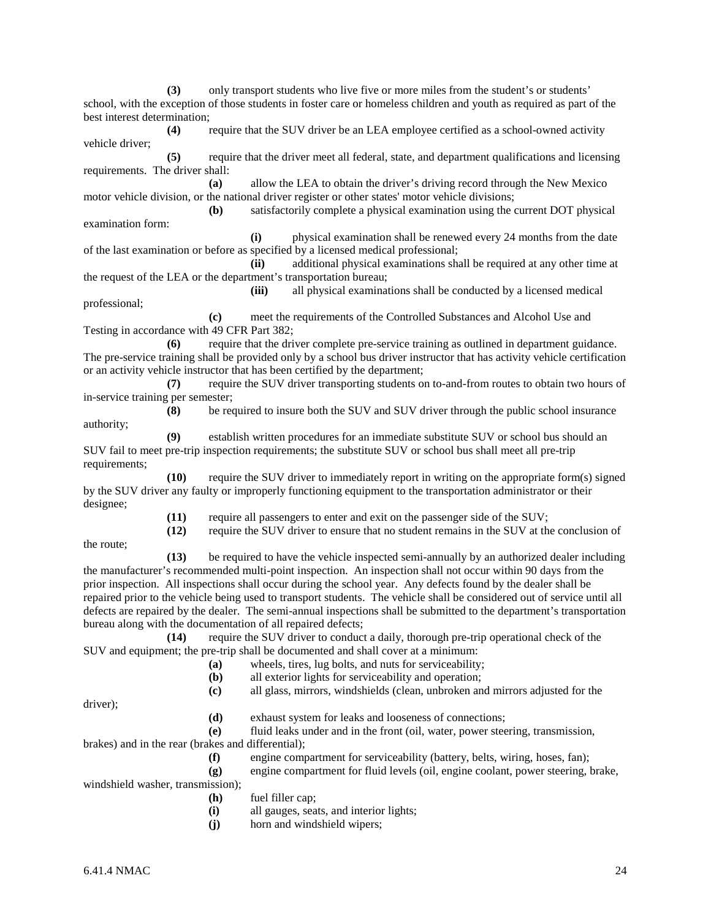**(3)** only transport students who live five or more miles from the student's or students' school, with the exception of those students in foster care or homeless children and youth as required as part of the best interest determination;

**(4)** require that the SUV driver be an LEA employee certified as a school-owned activity vehicle driver;

**(5)** require that the driver meet all federal, state, and department qualifications and licensing requirements. The driver shall:

**(a)** allow the LEA to obtain the driver's driving record through the New Mexico motor vehicle division, or the national driver register or other states' motor vehicle divisions;

**(b)** satisfactorily complete a physical examination using the current DOT physical examination form:

**(i)** physical examination shall be renewed every 24 months from the date of the last examination or before as specified by a licensed medical professional;

**(ii)** additional physical examinations shall be required at any other time at the request of the LEA or the department's transportation bureau;

**(iii)** all physical examinations shall be conducted by a licensed medical professional;

**(c)** meet the requirements of the Controlled Substances and Alcohol Use and Testing in accordance with 49 CFR Part 382;

**(6)** require that the driver complete pre-service training as outlined in department guidance. The pre-service training shall be provided only by a school bus driver instructor that has activity vehicle certification or an activity vehicle instructor that has been certified by the department;

**(7)** require the SUV driver transporting students on to-and-from routes to obtain two hours of in-service training per semester;

**(8)** be required to insure both the SUV and SUV driver through the public school insurance authority;

**(9)** establish written procedures for an immediate substitute SUV or school bus should an SUV fail to meet pre-trip inspection requirements; the substitute SUV or school bus shall meet all pre-trip requirements;

**(10)** require the SUV driver to immediately report in writing on the appropriate form(s) signed by the SUV driver any faulty or improperly functioning equipment to the transportation administrator or their designee;

**(11)** require all passengers to enter and exit on the passenger side of the SUV;

**(12)** require the SUV driver to ensure that no student remains in the SUV at the conclusion of

the route;

**(13)** be required to have the vehicle inspected semi-annually by an authorized dealer including the manufacturer's recommended multi-point inspection. An inspection shall not occur within 90 days from the prior inspection. All inspections shall occur during the school year. Any defects found by the dealer shall be repaired prior to the vehicle being used to transport students. The vehicle shall be considered out of service until all defects are repaired by the dealer. The semi-annual inspections shall be submitted to the department's transportation bureau along with the documentation of all repaired defects;

**(14)** require the SUV driver to conduct a daily, thorough pre-trip operational check of the SUV and equipment; the pre-trip shall be documented and shall cover at a minimum:

- **(a)** wheels, tires, lug bolts, and nuts for serviceability;
	- **(b)** all exterior lights for serviceability and operation;

**(c)** all glass, mirrors, windshields (clean, unbroken and mirrors adjusted for the

driver);

**(d)** exhaust system for leaks and looseness of connections;

**(e)** fluid leaks under and in the front (oil, water, power steering, transmission, brakes) and in the rear (brakes and differential); **(f)** engine compartment for serviceability (battery, belts, wiring, hoses, fan);

**(g)** engine compartment for fluid levels (oil, engine coolant, power steering, brake, windshield washer, transmission);

**(h)** fuel filler cap;

**(i)** all gauges, seats, and interior lights;

**(j)** horn and windshield wipers;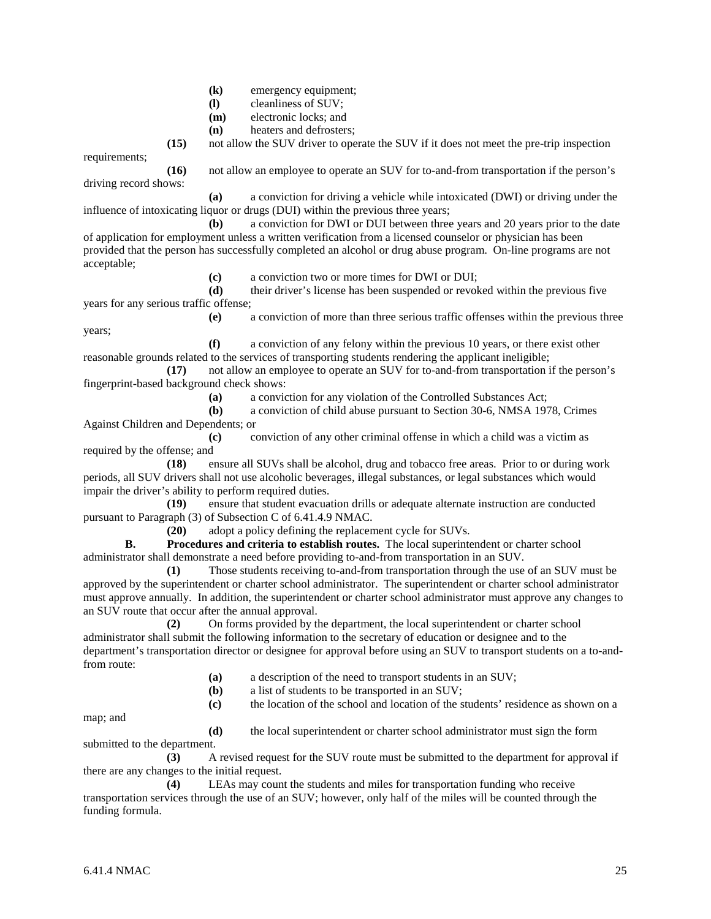- **(k)** emergency equipment;
- **(l)** cleanliness of SUV;
- **(m)** electronic locks; and
- **(n)** heaters and defrosters;

**(15)** not allow the SUV driver to operate the SUV if it does not meet the pre-trip inspection

requirements;

**(16)** not allow an employee to operate an SUV for to-and-from transportation if the person's driving record shows:

**(a)** a conviction for driving a vehicle while intoxicated (DWI) or driving under the influence of intoxicating liquor or drugs (DUI) within the previous three years;

**(b)** a conviction for DWI or DUI between three years and 20 years prior to the date of application for employment unless a written verification from a licensed counselor or physician has been provided that the person has successfully completed an alcohol or drug abuse program. On-line programs are not acceptable;

**(c)** a conviction two or more times for DWI or DUI;

**(d)** their driver's license has been suspended or revoked within the previous five years for any serious traffic offense;

**(e)** a conviction of more than three serious traffic offenses within the previous three years;

**(f)** a conviction of any felony within the previous 10 years, or there exist other reasonable grounds related to the services of transporting students rendering the applicant ineligible;

**(17)** not allow an employee to operate an SUV for to-and-from transportation if the person's fingerprint-based background check shows:

**(a)** a conviction for any violation of the Controlled Substances Act;

**(b)** a conviction of child abuse pursuant to Section 30-6, NMSA 1978, Crimes Against Children and Dependents; or

**(c)** conviction of any other criminal offense in which a child was a victim as required by the offense; and

**(18)** ensure all SUVs shall be alcohol, drug and tobacco free areas. Prior to or during work periods, all SUV drivers shall not use alcoholic beverages, illegal substances, or legal substances which would impair the driver's ability to perform required duties.

**(19)** ensure that student evacuation drills or adequate alternate instruction are conducted pursuant to Paragraph (3) of Subsection C of 6.41.4.9 NMAC.

**(20)** adopt a policy defining the replacement cycle for SUVs.

**B. Procedures and criteria to establish routes.** The local superintendent or charter school administrator shall demonstrate a need before providing to-and-from transportation in an SUV.

**(1)** Those students receiving to-and-from transportation through the use of an SUV must be approved by the superintendent or charter school administrator. The superintendent or charter school administrator must approve annually. In addition, the superintendent or charter school administrator must approve any changes to an SUV route that occur after the annual approval.

**(2)** On forms provided by the department, the local superintendent or charter school administrator shall submit the following information to the secretary of education or designee and to the department's transportation director or designee for approval before using an SUV to transport students on a to-andfrom route:

- **(a)** a description of the need to transport students in an SUV;
- **(b)** a list of students to be transported in an SUV;
- **(c)** the location of the school and location of the students' residence as shown on a

map; and

**(d)** the local superintendent or charter school administrator must sign the form submitted to the department.

**(3)** A revised request for the SUV route must be submitted to the department for approval if there are any changes to the initial request.

**(4)** LEAs may count the students and miles for transportation funding who receive transportation services through the use of an SUV; however, only half of the miles will be counted through the funding formula.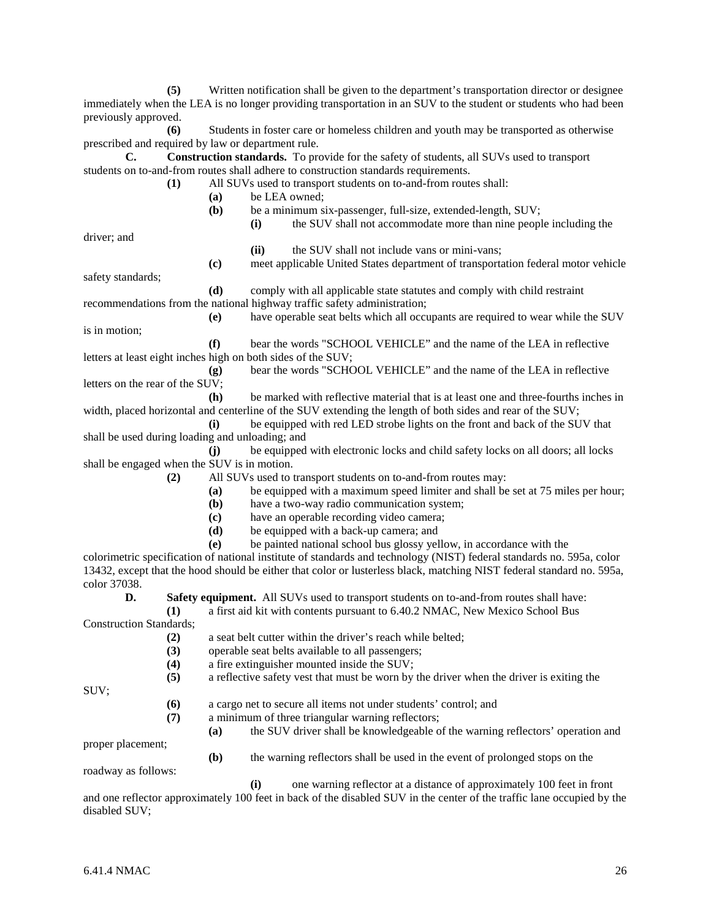**(5)** Written notification shall be given to the department's transportation director or designee immediately when the LEA is no longer providing transportation in an SUV to the student or students who had been previously approved.

**(6)** Students in foster care or homeless children and youth may be transported as otherwise prescribed and required by law or department rule.

**C. Construction standards.** To provide for the safety of students, all SUVs used to transport students on to-and-from routes shall adhere to construction standards requirements.

- **(1)** All SUVs used to transport students on to-and-from routes shall:
	- **(a)** be LEA owned;
		- **(b)** be a minimum six-passenger, full-size, extended-length, SUV;
			- **(i)** the SUV shall not accommodate more than nine people including the

**(c)** meet applicable United States department of transportation federal motor vehicle

driver; and

**(ii)** the SUV shall not include vans or mini-vans;

safety standards;

- **(d)** comply with all applicable state statutes and comply with child restraint recommendations from the national highway traffic safety administration;
- **(e)** have operable seat belts which all occupants are required to wear while the SUV is in motion;

**(f)** bear the words "SCHOOL VEHICLE" and the name of the LEA in reflective letters at least eight inches high on both sides of the SUV;

**(g)** bear the words "SCHOOL VEHICLE" and the name of the LEA in reflective letters on the rear of the SUV;

**(h)** be marked with reflective material that is at least one and three-fourths inches in width, placed horizontal and centerline of the SUV extending the length of both sides and rear of the SUV;

**(i)** be equipped with red LED strobe lights on the front and back of the SUV that shall be used during loading and unloading; and

- **(j)** be equipped with electronic locks and child safety locks on all doors; all locks shall be engaged when the SUV is in motion.
	- **(2)** All SUVs used to transport students on to-and-from routes may:
		- **(a)** be equipped with a maximum speed limiter and shall be set at 75 miles per hour;
		- **(b)** have a two-way radio communication system;
		- **(c)** have an operable recording video camera;
		- **(d)** be equipped with a back-up camera; and
		- **(e)** be painted national school bus glossy yellow, in accordance with the

colorimetric specification of national institute of standards and technology (NIST) federal standards no. 595a, color 13432, except that the hood should be either that color or lusterless black, matching NIST federal standard no. 595a, color 37038.

**D. Safety equipment.** All SUVs used to transport students on to-and-from routes shall have:

**(1)** a first aid kit with contents pursuant to 6.40.2 NMAC, New Mexico School Bus Construction Standards;

- **(2)** a seat belt cutter within the driver's reach while belted;
- **(3)** operable seat belts available to all passengers;
- **(4)** a fire extinguisher mounted inside the SUV;
- **(5)** a reflective safety vest that must be worn by the driver when the driver is exiting the

SUV;

- **(6)** a cargo net to secure all items not under students' control; and
- **(7)** a minimum of three triangular warning reflectors;
	- **(a)** the SUV driver shall be knowledgeable of the warning reflectors' operation and

proper placement;

**(b)** the warning reflectors shall be used in the event of prolonged stops on the

roadway as follows:

**(i)** one warning reflector at a distance of approximately 100 feet in front and one reflector approximately 100 feet in back of the disabled SUV in the center of the traffic lane occupied by the disabled SUV;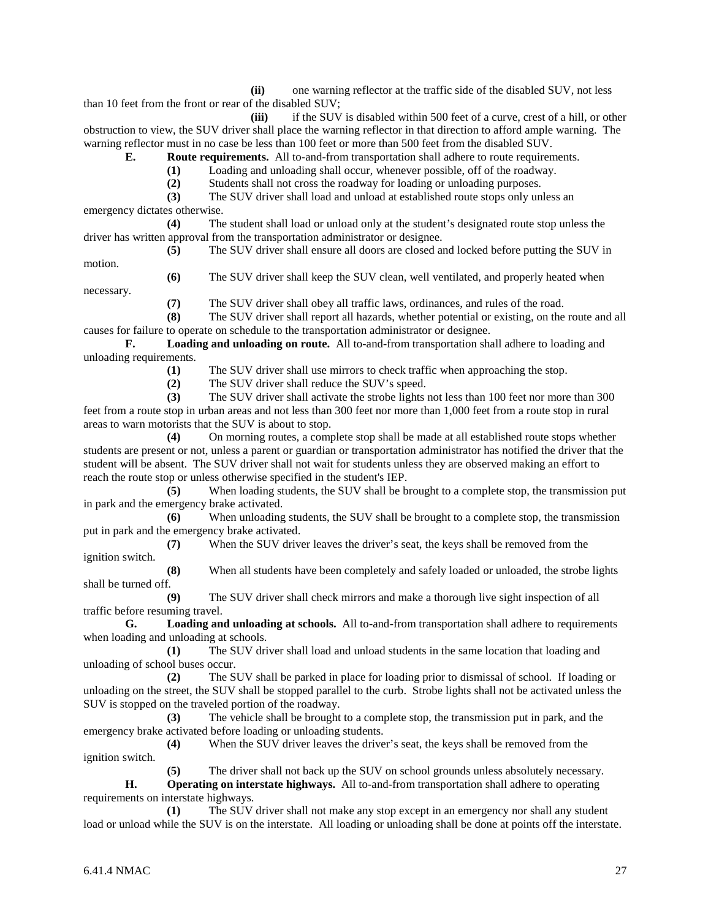**(ii)** one warning reflector at the traffic side of the disabled SUV, not less than 10 feet from the front or rear of the disabled SUV;

**(iii)** if the SUV is disabled within 500 feet of a curve, crest of a hill, or other obstruction to view, the SUV driver shall place the warning reflector in that direction to afford ample warning. The warning reflector must in no case be less than 100 feet or more than 500 feet from the disabled SUV.

**E. Route requirements.** All to-and-from transportation shall adhere to route requirements.

**(1)** Loading and unloading shall occur, whenever possible, off of the roadway.

**(2)** Students shall not cross the roadway for loading or unloading purposes.

**(3)** The SUV driver shall load and unload at established route stops only unless an emergency dictates otherwise.

**(4)** The student shall load or unload only at the student's designated route stop unless the driver has written approval from the transportation administrator or designee.

**(5)** The SUV driver shall ensure all doors are closed and locked before putting the SUV in motion.

necessary.

**(6)** The SUV driver shall keep the SUV clean, well ventilated, and properly heated when

**(7)** The SUV driver shall obey all traffic laws, ordinances, and rules of the road.

**(8)** The SUV driver shall report all hazards, whether potential or existing, on the route and all causes for failure to operate on schedule to the transportation administrator or designee.

**F. Loading and unloading on route.** All to-and-from transportation shall adhere to loading and unloading requirements.

(1) The SUV driver shall use mirrors to check traffic when approaching the stop.<br>
(2) The SUV driver shall reduce the SUV's speed.

The SUV driver shall reduce the SUV's speed.

**(3)** The SUV driver shall activate the strobe lights not less than 100 feet nor more than 300 feet from a route stop in urban areas and not less than 300 feet nor more than 1,000 feet from a route stop in rural areas to warn motorists that the SUV is about to stop.

**(4)** On morning routes, a complete stop shall be made at all established route stops whether students are present or not, unless a parent or guardian or transportation administrator has notified the driver that the student will be absent. The SUV driver shall not wait for students unless they are observed making an effort to reach the route stop or unless otherwise specified in the student's IEP.

**(5)** When loading students, the SUV shall be brought to a complete stop, the transmission put in park and the emergency brake activated.

**(6)** When unloading students, the SUV shall be brought to a complete stop, the transmission put in park and the emergency brake activated.

**(7)** When the SUV driver leaves the driver's seat, the keys shall be removed from the ignition switch.

**(8)** When all students have been completely and safely loaded or unloaded, the strobe lights shall be turned off.

**(9)** The SUV driver shall check mirrors and make a thorough live sight inspection of all traffic before resuming travel.

**G. Loading and unloading at schools.** All to-and-from transportation shall adhere to requirements when loading and unloading at schools.

**(1)** The SUV driver shall load and unload students in the same location that loading and unloading of school buses occur.

**(2)** The SUV shall be parked in place for loading prior to dismissal of school. If loading or unloading on the street, the SUV shall be stopped parallel to the curb. Strobe lights shall not be activated unless the SUV is stopped on the traveled portion of the roadway.

**(3)** The vehicle shall be brought to a complete stop, the transmission put in park, and the emergency brake activated before loading or unloading students.

**(4)** When the SUV driver leaves the driver's seat, the keys shall be removed from the ignition switch.

**(5)** The driver shall not back up the SUV on school grounds unless absolutely necessary.

**H. Operating on interstate highways.** All to-and-from transportation shall adhere to operating requirements on interstate highways.

**(1)** The SUV driver shall not make any stop except in an emergency nor shall any student load or unload while the SUV is on the interstate. All loading or unloading shall be done at points off the interstate.